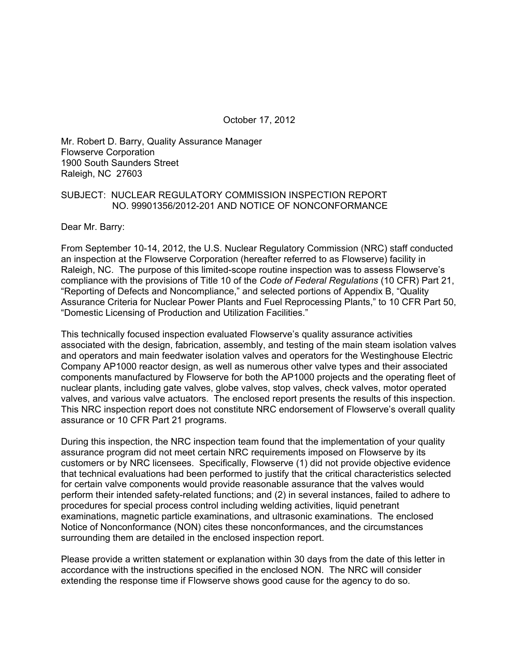October 17, 2012

Mr. Robert D. Barry, Quality Assurance Manager Flowserve Corporation 1900 South Saunders Street Raleigh, NC 27603

#### SUBJECT: NUCLEAR REGULATORY COMMISSION INSPECTION REPORT NO. 99901356/2012-201 AND NOTICE OF NONCONFORMANCE

Dear Mr. Barry:

From September 10-14, 2012, the U.S. Nuclear Regulatory Commission (NRC) staff conducted an inspection at the Flowserve Corporation (hereafter referred to as Flowserve) facility in Raleigh, NC. The purpose of this limited-scope routine inspection was to assess Flowserve's compliance with the provisions of Title 10 of the *Code of Federal Regulations* (10 CFR) Part 21, "Reporting of Defects and Noncompliance," and selected portions of Appendix B, "Quality Assurance Criteria for Nuclear Power Plants and Fuel Reprocessing Plants," to 10 CFR Part 50, "Domestic Licensing of Production and Utilization Facilities."

This technically focused inspection evaluated Flowserve's quality assurance activities associated with the design, fabrication, assembly, and testing of the main steam isolation valves and operators and main feedwater isolation valves and operators for the Westinghouse Electric Company AP1000 reactor design, as well as numerous other valve types and their associated components manufactured by Flowserve for both the AP1000 projects and the operating fleet of nuclear plants, including gate valves, globe valves, stop valves, check valves, motor operated valves, and various valve actuators. The enclosed report presents the results of this inspection. This NRC inspection report does not constitute NRC endorsement of Flowserve's overall quality assurance or 10 CFR Part 21 programs.

During this inspection, the NRC inspection team found that the implementation of your quality assurance program did not meet certain NRC requirements imposed on Flowserve by its customers or by NRC licensees. Specifically, Flowserve (1) did not provide objective evidence that technical evaluations had been performed to justify that the critical characteristics selected for certain valve components would provide reasonable assurance that the valves would perform their intended safety-related functions; and (2) in several instances, failed to adhere to procedures for special process control including welding activities, liquid penetrant examinations, magnetic particle examinations, and ultrasonic examinations. The enclosed Notice of Nonconformance (NON) cites these nonconformances, and the circumstances surrounding them are detailed in the enclosed inspection report.

Please provide a written statement or explanation within 30 days from the date of this letter in accordance with the instructions specified in the enclosed NON. The NRC will consider extending the response time if Flowserve shows good cause for the agency to do so.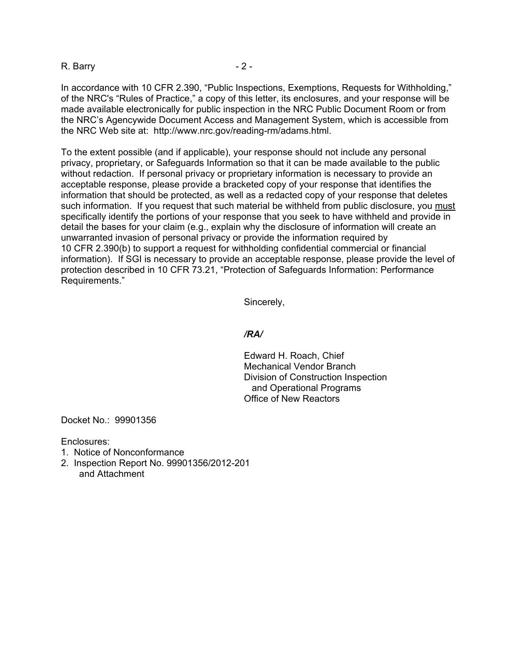#### R. Barry **- 2 -** 2 -

In accordance with 10 CFR 2.390, "Public Inspections, Exemptions, Requests for Withholding," of the NRC's "Rules of Practice," a copy of this letter, its enclosures, and your response will be made available electronically for public inspection in the NRC Public Document Room or from the NRC's Agencywide Document Access and Management System, which is accessible from the NRC Web site at: http://www.nrc.gov/reading-rm/adams.html.

To the extent possible (and if applicable), your response should not include any personal privacy, proprietary, or Safeguards Information so that it can be made available to the public without redaction. If personal privacy or proprietary information is necessary to provide an acceptable response, please provide a bracketed copy of your response that identifies the information that should be protected, as well as a redacted copy of your response that deletes such information. If you request that such material be withheld from public disclosure, you must specifically identify the portions of your response that you seek to have withheld and provide in detail the bases for your claim (e.g., explain why the disclosure of information will create an unwarranted invasion of personal privacy or provide the information required by 10 CFR 2.390(b) to support a request for withholding confidential commercial or financial information). If SGI is necessary to provide an acceptable response, please provide the level of protection described in 10 CFR 73.21, "Protection of Safeguards Information: Performance Requirements."

Sincerely,

#### */RA/*

Edward H. Roach, Chief Mechanical Vendor Branch Division of Construction Inspection and Operational Programs Office of New Reactors

Docket No.: 99901356

Enclosures:

- 1. Notice of Nonconformance
- 2. Inspection Report No. 99901356/2012-201 and Attachment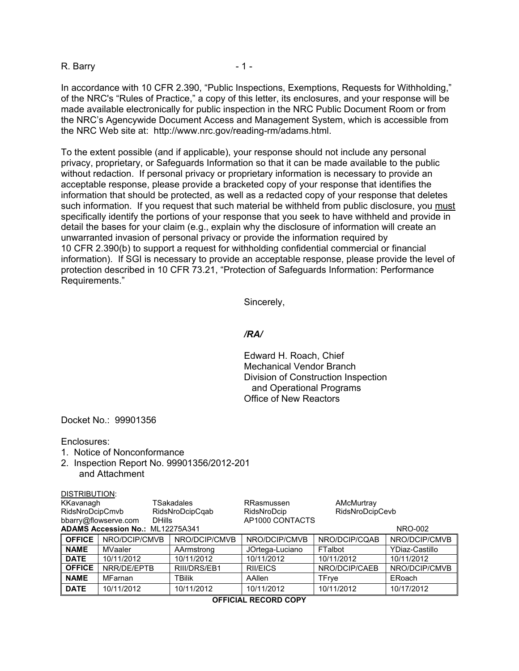#### R. Barry **1.**

In accordance with 10 CFR 2.390, "Public Inspections, Exemptions, Requests for Withholding," of the NRC's "Rules of Practice," a copy of this letter, its enclosures, and your response will be made available electronically for public inspection in the NRC Public Document Room or from the NRC's Agencywide Document Access and Management System, which is accessible from the NRC Web site at: http://www.nrc.gov/reading-rm/adams.html.

To the extent possible (and if applicable), your response should not include any personal privacy, proprietary, or Safeguards Information so that it can be made available to the public without redaction. If personal privacy or proprietary information is necessary to provide an acceptable response, please provide a bracketed copy of your response that identifies the information that should be protected, as well as a redacted copy of your response that deletes such information. If you request that such material be withheld from public disclosure, you must specifically identify the portions of your response that you seek to have withheld and provide in detail the bases for your claim (e.g., explain why the disclosure of information will create an unwarranted invasion of personal privacy or provide the information required by 10 CFR 2.390(b) to support a request for withholding confidential commercial or financial information). If SGI is necessary to provide an acceptable response, please provide the level of protection described in 10 CFR 73.21, "Protection of Safeguards Information: Performance Requirements."

Sincerely,

#### */RA/*

Edward H. Roach, Chief Mechanical Vendor Branch Division of Construction Inspection and Operational Programs Office of New Reactors

Docket No.: 99901356

Enclosures:

DISTRIBUTION:

- 1. Notice of Nonconformance
- 2. Inspection Report No. 99901356/2012-201 and Attachment

| DIJI NDUTIVN.                                             |               |                 |                 |                 |                |  |
|-----------------------------------------------------------|---------------|-----------------|-----------------|-----------------|----------------|--|
| KKavanagh                                                 |               | TSakadales      | RRasmussen      | AMcMurtray      |                |  |
| RidsNroDcipCmvb                                           |               | RidsNroDcipCqab | RidsNroDcip     | RidsNroDcipCevb |                |  |
| bbarry@flowserve.com                                      |               | <b>DHills</b>   | AP1000 CONTACTS |                 |                |  |
| <b>ADAMS Accession No.: ML12275A341</b><br><b>NRO-002</b> |               |                 |                 |                 |                |  |
| <b>OFFICE</b>                                             | NRO/DCIP/CMVB | NRO/DCIP/CMVB   | NRO/DCIP/CMVB   | NRO/DCIP/CQAB   | NRO/DCIP/CMVB  |  |
| <b>NAME</b>                                               | MVaaler       | AArmstrong      | JOrtega-Luciano | FTalbot         | YDiaz-Castillo |  |
| <b>DATE</b>                                               | 10/11/2012    | 10/11/2012      | 10/11/2012      | 10/11/2012      | 10/11/2012     |  |
| <b>OFFICE</b>                                             | NRR/DE/EPTB   | RIII/DRS/EB1    | <b>RIVEICS</b>  | NRO/DCIP/CAEB   | NRO/DCIP/CMVB  |  |
| <b>NAME</b>                                               | MFarnan       | TBilik          | AAllen          | TFrye           | ERoach         |  |
| <b>DATE</b>                                               | 10/11/2012    | 10/11/2012      | 10/11/2012      | 10/11/2012      | 10/17/2012     |  |

**OFFICIAL RECORD COPY**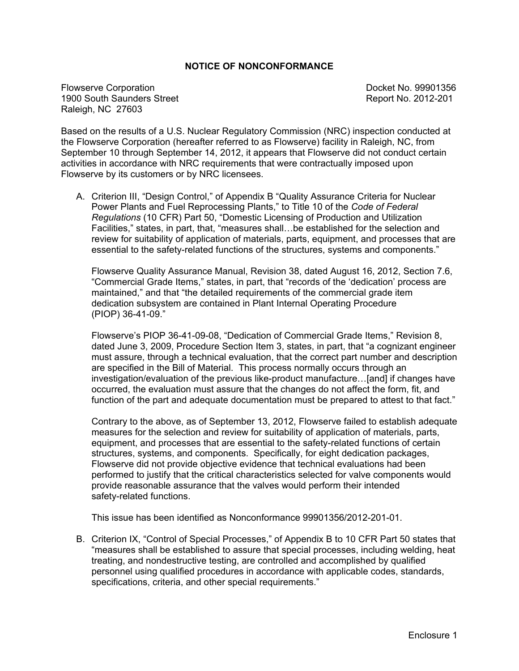#### **NOTICE OF NONCONFORMANCE**

Flowserve Corporation **Docket No. 99901356** 1900 South Saunders Street **Report No. 2012-201** Raleigh, NC 27603

Based on the results of a U.S. Nuclear Regulatory Commission (NRC) inspection conducted at the Flowserve Corporation (hereafter referred to as Flowserve) facility in Raleigh, NC, from September 10 through September 14, 2012, it appears that Flowserve did not conduct certain activities in accordance with NRC requirements that were contractually imposed upon Flowserve by its customers or by NRC licensees.

A. Criterion III, "Design Control," of Appendix B "Quality Assurance Criteria for Nuclear Power Plants and Fuel Reprocessing Plants," to Title 10 of the *Code of Federal Regulations* (10 CFR) Part 50, "Domestic Licensing of Production and Utilization Facilities," states, in part, that, "measures shall…be established for the selection and review for suitability of application of materials, parts, equipment, and processes that are essential to the safety-related functions of the structures, systems and components."

Flowserve Quality Assurance Manual, Revision 38, dated August 16, 2012, Section 7.6, "Commercial Grade Items," states, in part, that "records of the 'dedication' process are maintained," and that "the detailed requirements of the commercial grade item dedication subsystem are contained in Plant Internal Operating Procedure (PIOP) 36-41-09."

Flowserve's PIOP 36-41-09-08, "Dedication of Commercial Grade Items," Revision 8, dated June 3, 2009, Procedure Section Item 3, states, in part, that "a cognizant engineer must assure, through a technical evaluation, that the correct part number and description are specified in the Bill of Material. This process normally occurs through an investigation/evaluation of the previous like-product manufacture…[and] if changes have occurred, the evaluation must assure that the changes do not affect the form, fit, and function of the part and adequate documentation must be prepared to attest to that fact."

Contrary to the above, as of September 13, 2012, Flowserve failed to establish adequate measures for the selection and review for suitability of application of materials, parts, equipment, and processes that are essential to the safety-related functions of certain structures, systems, and components. Specifically, for eight dedication packages, Flowserve did not provide objective evidence that technical evaluations had been performed to justify that the critical characteristics selected for valve components would provide reasonable assurance that the valves would perform their intended safety-related functions.

This issue has been identified as Nonconformance 99901356/2012-201-01.

B. Criterion IX, "Control of Special Processes," of Appendix B to 10 CFR Part 50 states that "measures shall be established to assure that special processes, including welding, heat treating, and nondestructive testing, are controlled and accomplished by qualified personnel using qualified procedures in accordance with applicable codes, standards, specifications, criteria, and other special requirements."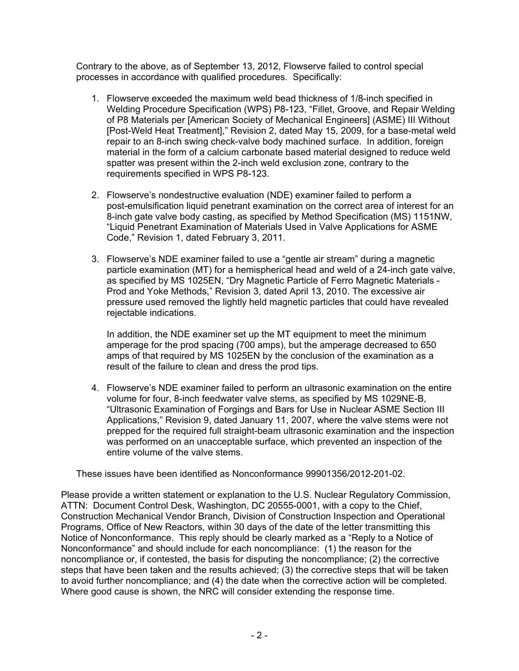Contrary to the above, as of September 13, 2012, Flowserve failed to control special processes in accordance with qualified procedures. Specifically:

- 1. Flowserve exceeded the maximum weld bead thickness of 1/8-inch specified in Welding Procedure Specification (WPS) P8-123, "Fillet, Groove, and Repair Welding of P8 Materials per [American Society of Mechanical Engineers] (ASME) III Without [Post-Weld Heat Treatment]," Revision 2, dated May 15, 2009, for a base-metal weld repair to an 8-inch swing check-valve body machined surface. In addition, foreign material in the form of a calcium carbonate based material designed to reduce weld spatter was present within the 2-inch weld exclusion zone, contrary to the requirements specified in WPS P8-123.
- 2. Flowserve's nondestructive evaluation (NDE) examiner failed to perform a post-emulsification liquid penetrant examination on the correct area of interest for an 8-inch gate valve body casting, as specified by Method Specification (MS) 1151NW, "Liquid Penetrant Examination of Materials Used in Valve Applications for ASME Code," Revision 1, dated February 3, 2011.
- 3. Flowserve's NDE examiner failed to use a "gentle air stream" during a magnetic particle examination (MT) for a hemispherical head and weld of a 24-inch gate valve, as specified by MS 1025EN, "Dry Magnetic Particle of Ferro Magnetic Materials - Prod and Yoke Methods," Revision 3, dated April 13, 2010. The excessive air pressure used removed the lightly held magnetic particles that could have revealed rejectable indications.

In addition, the NDE examiner set up the MT equipment to meet the minimum amperage for the prod spacing (700 amps), but the amperage decreased to 650 amps of that required by MS 1025EN by the conclusion of the examination as a result of the failure to clean and dress the prod tips.

4. Flowserve's NDE examiner failed to perform an ultrasonic examination on the entire volume for four, 8-inch feedwater valve stems, as specified by MS 1029NE-B, "Ultrasonic Examination of Forgings and Bars for Use in Nuclear ASME Section III Applications," Revision 9, dated January 11, 2007, where the valve stems were not prepped for the required full straight-beam ultrasonic examination and the inspection was performed on an unacceptable surface, which prevented an inspection of the entire volume of the valve stems.

These issues have been identified as Nonconformance 99901356/2012-201-02.

Please provide a written statement or explanation to the U.S. Nuclear Regulatory Commission, ATTN: Document Control Desk, Washington, DC 20555-0001, with a copy to the Chief, Construction Mechanical Vendor Branch, Division of Construction Inspection and Operational Programs, Office of New Reactors, within 30 days of the date of the letter transmitting this Notice of Nonconformance. This reply should be clearly marked as a "Reply to a Notice of Nonconformance" and should include for each noncompliance: (1) the reason for the noncompliance or, if contested, the basis for disputing the noncompliance; (2) the corrective steps that have been taken and the results achieved; (3) the corrective steps that will be taken to avoid further noncompliance; and (4) the date when the corrective action will be completed. Where good cause is shown, the NRC will consider extending the response time.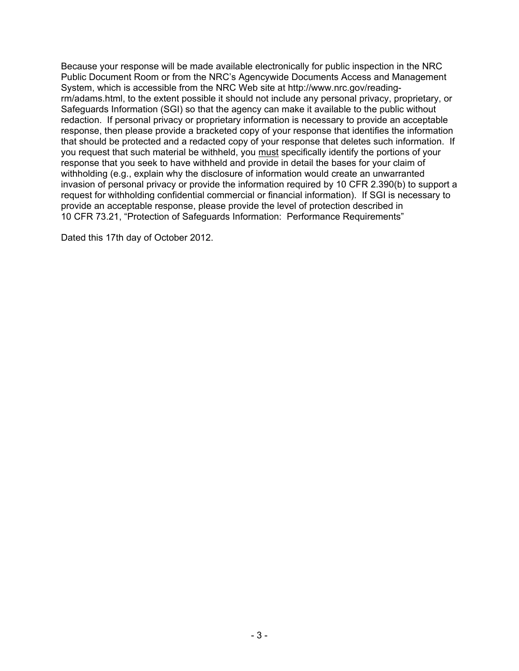Because your response will be made available electronically for public inspection in the NRC Public Document Room or from the NRC's Agencywide Documents Access and Management System, which is accessible from the NRC Web site at http://www.nrc.gov/readingrm/adams.html, to the extent possible it should not include any personal privacy, proprietary, or Safeguards Information (SGI) so that the agency can make it available to the public without redaction. If personal privacy or proprietary information is necessary to provide an acceptable response, then please provide a bracketed copy of your response that identifies the information that should be protected and a redacted copy of your response that deletes such information. If you request that such material be withheld, you must specifically identify the portions of your response that you seek to have withheld and provide in detail the bases for your claim of withholding (e.g., explain why the disclosure of information would create an unwarranted invasion of personal privacy or provide the information required by 10 CFR 2.390(b) to support a request for withholding confidential commercial or financial information). If SGI is necessary to provide an acceptable response, please provide the level of protection described in 10 CFR 73.21, "Protection of Safeguards Information: Performance Requirements"

Dated this 17th day of October 2012.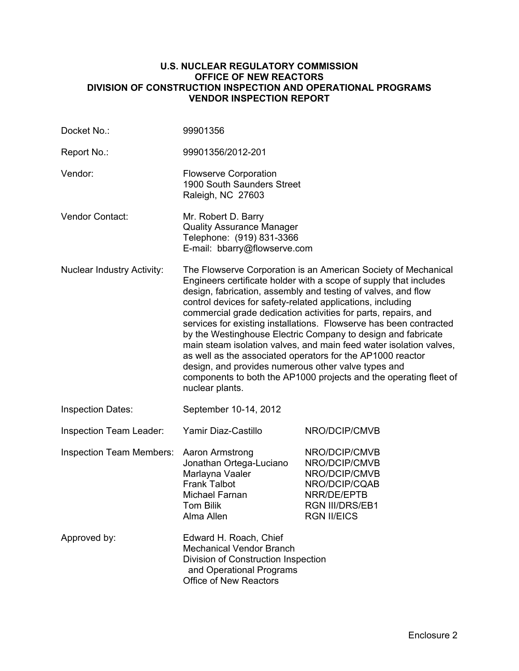#### **U.S. NUCLEAR REGULATORY COMMISSION OFFICE OF NEW REACTORS DIVISION OF CONSTRUCTION INSPECTION AND OPERATIONAL PROGRAMS VENDOR INSPECTION REPORT**

| Docket No.:                       | 99901356                                                                                                                                                                                                                                                                                                                                                                                                                                                                                                                                                                                                                                                                                                                                                      |                                                                                                                                 |  |  |
|-----------------------------------|---------------------------------------------------------------------------------------------------------------------------------------------------------------------------------------------------------------------------------------------------------------------------------------------------------------------------------------------------------------------------------------------------------------------------------------------------------------------------------------------------------------------------------------------------------------------------------------------------------------------------------------------------------------------------------------------------------------------------------------------------------------|---------------------------------------------------------------------------------------------------------------------------------|--|--|
| Report No.:                       | 99901356/2012-201                                                                                                                                                                                                                                                                                                                                                                                                                                                                                                                                                                                                                                                                                                                                             |                                                                                                                                 |  |  |
| Vendor:                           | <b>Flowserve Corporation</b><br>1900 South Saunders Street<br>Raleigh, NC 27603                                                                                                                                                                                                                                                                                                                                                                                                                                                                                                                                                                                                                                                                               |                                                                                                                                 |  |  |
| Vendor Contact:                   | Mr. Robert D. Barry<br><b>Quality Assurance Manager</b><br>Telephone: (919) 831-3366<br>E-mail: bbarry@flowserve.com                                                                                                                                                                                                                                                                                                                                                                                                                                                                                                                                                                                                                                          |                                                                                                                                 |  |  |
| <b>Nuclear Industry Activity:</b> | The Flowserve Corporation is an American Society of Mechanical<br>Engineers certificate holder with a scope of supply that includes<br>design, fabrication, assembly and testing of valves, and flow<br>control devices for safety-related applications, including<br>commercial grade dedication activities for parts, repairs, and<br>services for existing installations. Flowserve has been contracted<br>by the Westinghouse Electric Company to design and fabricate<br>main steam isolation valves, and main feed water isolation valves,<br>as well as the associated operators for the AP1000 reactor<br>design, and provides numerous other valve types and<br>components to both the AP1000 projects and the operating fleet of<br>nuclear plants. |                                                                                                                                 |  |  |
| <b>Inspection Dates:</b>          | September 10-14, 2012                                                                                                                                                                                                                                                                                                                                                                                                                                                                                                                                                                                                                                                                                                                                         |                                                                                                                                 |  |  |
| Inspection Team Leader:           | Yamir Diaz-Castillo                                                                                                                                                                                                                                                                                                                                                                                                                                                                                                                                                                                                                                                                                                                                           | NRO/DCIP/CMVB                                                                                                                   |  |  |
| <b>Inspection Team Members:</b>   | Aaron Armstrong<br>Jonathan Ortega-Luciano<br>Marlayna Vaaler<br><b>Frank Talbot</b><br>Michael Farnan<br>Tom Bilik<br>Alma Allen                                                                                                                                                                                                                                                                                                                                                                                                                                                                                                                                                                                                                             | NRO/DCIP/CMVB<br>NRO/DCIP/CMVB<br>NRO/DCIP/CMVB<br>NRO/DCIP/CQAB<br>NRR/DE/EPTB<br><b>RGN III/DRS/EB1</b><br><b>RGN II/EICS</b> |  |  |
| Approved by:                      | Edward H. Roach, Chief<br><b>Mechanical Vendor Branch</b><br>Division of Construction Inspection<br>and Operational Programs<br>Office of New Reactors                                                                                                                                                                                                                                                                                                                                                                                                                                                                                                                                                                                                        |                                                                                                                                 |  |  |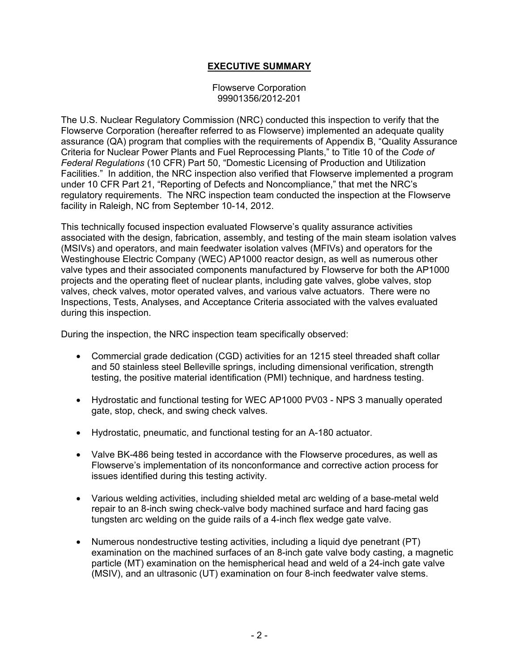## **EXECUTIVE SUMMARY**

Flowserve Corporation 99901356/2012-201

The U.S. Nuclear Regulatory Commission (NRC) conducted this inspection to verify that the Flowserve Corporation (hereafter referred to as Flowserve) implemented an adequate quality assurance (QA) program that complies with the requirements of Appendix B, "Quality Assurance Criteria for Nuclear Power Plants and Fuel Reprocessing Plants," to Title 10 of the *Code of Federal Regulations* (10 CFR) Part 50, "Domestic Licensing of Production and Utilization Facilities." In addition, the NRC inspection also verified that Flowserve implemented a program under 10 CFR Part 21, "Reporting of Defects and Noncompliance," that met the NRC's regulatory requirements. The NRC inspection team conducted the inspection at the Flowserve facility in Raleigh, NC from September 10-14, 2012.

This technically focused inspection evaluated Flowserve's quality assurance activities associated with the design, fabrication, assembly, and testing of the main steam isolation valves (MSIVs) and operators, and main feedwater isolation valves (MFIVs) and operators for the Westinghouse Electric Company (WEC) AP1000 reactor design, as well as numerous other valve types and their associated components manufactured by Flowserve for both the AP1000 projects and the operating fleet of nuclear plants, including gate valves, globe valves, stop valves, check valves, motor operated valves, and various valve actuators. There were no Inspections, Tests, Analyses, and Acceptance Criteria associated with the valves evaluated during this inspection.

During the inspection, the NRC inspection team specifically observed:

- Commercial grade dedication (CGD) activities for an 1215 steel threaded shaft collar and 50 stainless steel Belleville springs, including dimensional verification, strength testing, the positive material identification (PMI) technique, and hardness testing.
- Hydrostatic and functional testing for WEC AP1000 PV03 NPS 3 manually operated gate, stop, check, and swing check valves.
- Hydrostatic, pneumatic, and functional testing for an A-180 actuator.
- Valve BK-486 being tested in accordance with the Flowserve procedures, as well as Flowserve's implementation of its nonconformance and corrective action process for issues identified during this testing activity.
- Various welding activities, including shielded metal arc welding of a base-metal weld repair to an 8-inch swing check-valve body machined surface and hard facing gas tungsten arc welding on the guide rails of a 4-inch flex wedge gate valve.
- Numerous nondestructive testing activities, including a liquid dye penetrant (PT) examination on the machined surfaces of an 8-inch gate valve body casting, a magnetic particle (MT) examination on the hemispherical head and weld of a 24-inch gate valve (MSIV), and an ultrasonic (UT) examination on four 8-inch feedwater valve stems.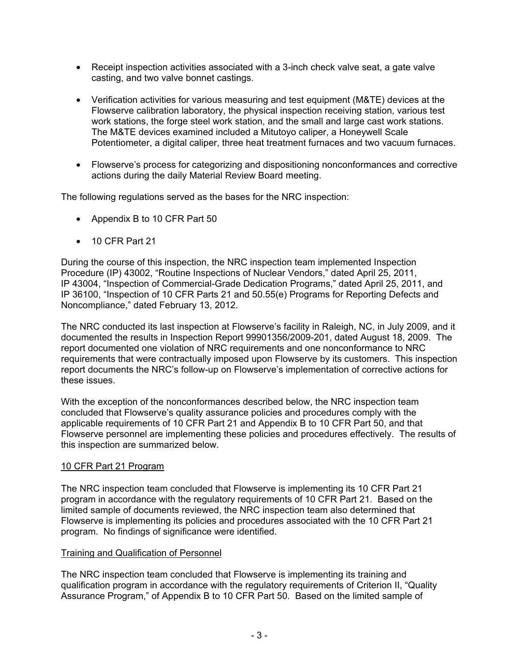- Receipt inspection activities associated with a 3-inch check valve seat, a gate valve casting, and two valve bonnet castings.
- Verification activities for various measuring and test equipment (M&TE) devices at the Flowserve calibration laboratory, the physical inspection receiving station, various test work stations, the forge steel work station, and the small and large cast work stations. The M&TE devices examined included a Mitutoyo caliper, a Honeywell Scale Potentiometer, a digital caliper, three heat treatment furnaces and two vacuum furnaces.
- Flowserve's process for categorizing and dispositioning nonconformances and corrective actions during the daily Material Review Board meeting.

The following regulations served as the bases for the NRC inspection:

- Appendix B to 10 CFR Part 50
- 10 CFR Part 21

During the course of this inspection, the NRC inspection team implemented Inspection Procedure (IP) 43002, "Routine Inspections of Nuclear Vendors," dated April 25, 2011, IP 43004, "Inspection of Commercial-Grade Dedication Programs," dated April 25, 2011, and IP 36100, "Inspection of 10 CFR Parts 21 and 50.55(e) Programs for Reporting Defects and Noncompliance," dated February 13, 2012.

The NRC conducted its last inspection at Flowserve's facility in Raleigh, NC, in July 2009, and it documented the results in Inspection Report 99901356/2009-201, dated August 18, 2009. The report documented one violation of NRC requirements and one nonconformance to NRC requirements that were contractually imposed upon Flowserve by its customers. This inspection report documents the NRC's follow-up on Flowserve's implementation of corrective actions for these issues.

With the exception of the nonconformances described below, the NRC inspection team concluded that Flowserve's quality assurance policies and procedures comply with the applicable requirements of 10 CFR Part 21 and Appendix B to 10 CFR Part 50, and that Flowserve personnel are implementing these policies and procedures effectively. The results of this inspection are summarized below.

## 10 CFR Part 21 Program

The NRC inspection team concluded that Flowserve is implementing its 10 CFR Part 21 program in accordance with the regulatory requirements of 10 CFR Part 21. Based on the limited sample of documents reviewed, the NRC inspection team also determined that Flowserve is implementing its policies and procedures associated with the 10 CFR Part 21 program. No findings of significance were identified.

#### Training and Qualification of Personnel

The NRC inspection team concluded that Flowserve is implementing its training and qualification program in accordance with the regulatory requirements of Criterion II, "Quality Assurance Program," of Appendix B to 10 CFR Part 50. Based on the limited sample of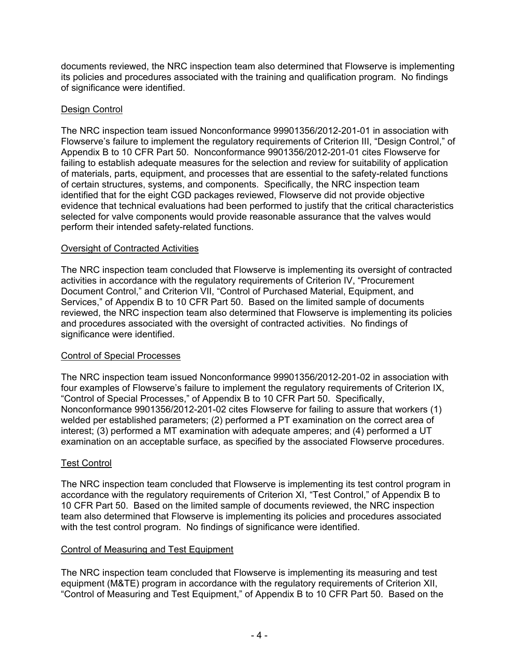documents reviewed, the NRC inspection team also determined that Flowserve is implementing its policies and procedures associated with the training and qualification program. No findings of significance were identified.

## Design Control

The NRC inspection team issued Nonconformance 99901356/2012-201-01 in association with Flowserve's failure to implement the regulatory requirements of Criterion III, "Design Control," of Appendix B to 10 CFR Part 50. Nonconformance 9901356/2012-201-01 cites Flowserve for failing to establish adequate measures for the selection and review for suitability of application of materials, parts, equipment, and processes that are essential to the safety-related functions of certain structures, systems, and components. Specifically, the NRC inspection team identified that for the eight CGD packages reviewed, Flowserve did not provide objective evidence that technical evaluations had been performed to justify that the critical characteristics selected for valve components would provide reasonable assurance that the valves would perform their intended safety-related functions.

## Oversight of Contracted Activities

The NRC inspection team concluded that Flowserve is implementing its oversight of contracted activities in accordance with the regulatory requirements of Criterion IV, "Procurement Document Control," and Criterion VII, "Control of Purchased Material, Equipment, and Services," of Appendix B to 10 CFR Part 50. Based on the limited sample of documents reviewed, the NRC inspection team also determined that Flowserve is implementing its policies and procedures associated with the oversight of contracted activities. No findings of significance were identified.

## Control of Special Processes

The NRC inspection team issued Nonconformance 99901356/2012-201-02 in association with four examples of Flowserve's failure to implement the regulatory requirements of Criterion IX, "Control of Special Processes," of Appendix B to 10 CFR Part 50. Specifically, Nonconformance 9901356/2012-201-02 cites Flowserve for failing to assure that workers (1) welded per established parameters; (2) performed a PT examination on the correct area of interest; (3) performed a MT examination with adequate amperes; and (4) performed a UT examination on an acceptable surface, as specified by the associated Flowserve procedures.

## Test Control

The NRC inspection team concluded that Flowserve is implementing its test control program in accordance with the regulatory requirements of Criterion XI, "Test Control," of Appendix B to 10 CFR Part 50. Based on the limited sample of documents reviewed, the NRC inspection team also determined that Flowserve is implementing its policies and procedures associated with the test control program. No findings of significance were identified.

## Control of Measuring and Test Equipment

The NRC inspection team concluded that Flowserve is implementing its measuring and test equipment (M&TE) program in accordance with the regulatory requirements of Criterion XII, "Control of Measuring and Test Equipment," of Appendix B to 10 CFR Part 50. Based on the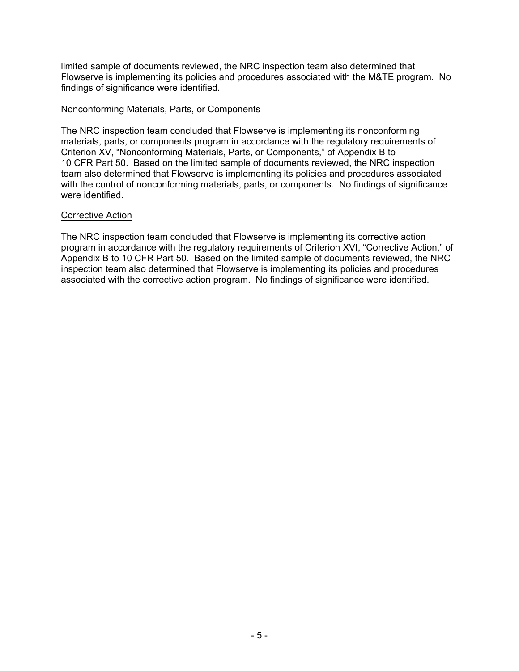limited sample of documents reviewed, the NRC inspection team also determined that Flowserve is implementing its policies and procedures associated with the M&TE program. No findings of significance were identified.

#### Nonconforming Materials, Parts, or Components

The NRC inspection team concluded that Flowserve is implementing its nonconforming materials, parts, or components program in accordance with the regulatory requirements of Criterion XV, "Nonconforming Materials, Parts, or Components," of Appendix B to 10 CFR Part 50. Based on the limited sample of documents reviewed, the NRC inspection team also determined that Flowserve is implementing its policies and procedures associated with the control of nonconforming materials, parts, or components. No findings of significance were identified.

#### Corrective Action

The NRC inspection team concluded that Flowserve is implementing its corrective action program in accordance with the regulatory requirements of Criterion XVI, "Corrective Action," of Appendix B to 10 CFR Part 50. Based on the limited sample of documents reviewed, the NRC inspection team also determined that Flowserve is implementing its policies and procedures associated with the corrective action program. No findings of significance were identified.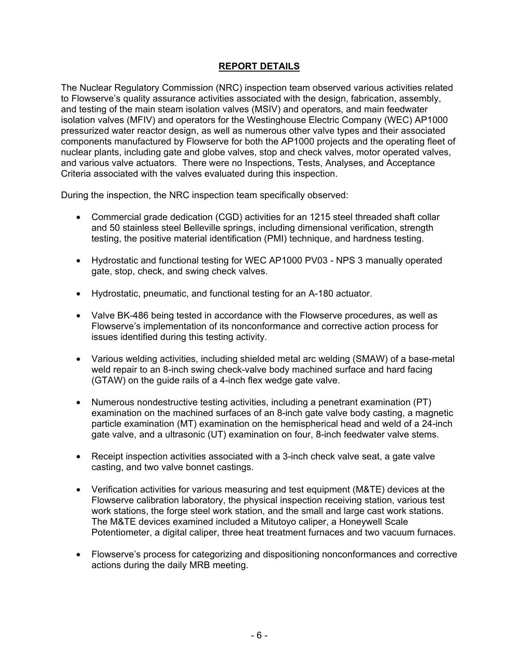## **REPORT DETAILS**

The Nuclear Regulatory Commission (NRC) inspection team observed various activities related to Flowserve's quality assurance activities associated with the design, fabrication, assembly, and testing of the main steam isolation valves (MSIV) and operators, and main feedwater isolation valves (MFIV) and operators for the Westinghouse Electric Company (WEC) AP1000 pressurized water reactor design, as well as numerous other valve types and their associated components manufactured by Flowserve for both the AP1000 projects and the operating fleet of nuclear plants, including gate and globe valves, stop and check valves, motor operated valves, and various valve actuators. There were no Inspections, Tests, Analyses, and Acceptance Criteria associated with the valves evaluated during this inspection.

During the inspection, the NRC inspection team specifically observed:

- Commercial grade dedication (CGD) activities for an 1215 steel threaded shaft collar and 50 stainless steel Belleville springs, including dimensional verification, strength testing, the positive material identification (PMI) technique, and hardness testing.
- Hydrostatic and functional testing for WEC AP1000 PV03 NPS 3 manually operated gate, stop, check, and swing check valves.
- Hydrostatic, pneumatic, and functional testing for an A-180 actuator.
- Valve BK-486 being tested in accordance with the Flowserve procedures, as well as Flowserve's implementation of its nonconformance and corrective action process for issues identified during this testing activity.
- Various welding activities, including shielded metal arc welding (SMAW) of a base-metal weld repair to an 8-inch swing check-valve body machined surface and hard facing (GTAW) on the guide rails of a 4-inch flex wedge gate valve.
- Numerous nondestructive testing activities, including a penetrant examination (PT) examination on the machined surfaces of an 8-inch gate valve body casting, a magnetic particle examination (MT) examination on the hemispherical head and weld of a 24-inch gate valve, and a ultrasonic (UT) examination on four, 8-inch feedwater valve stems.
- Receipt inspection activities associated with a 3-inch check valve seat, a gate valve casting, and two valve bonnet castings.
- Verification activities for various measuring and test equipment (M&TE) devices at the Flowserve calibration laboratory, the physical inspection receiving station, various test work stations, the forge steel work station, and the small and large cast work stations. The M&TE devices examined included a Mitutoyo caliper, a Honeywell Scale Potentiometer, a digital caliper, three heat treatment furnaces and two vacuum furnaces.
- Flowserve's process for categorizing and dispositioning nonconformances and corrective actions during the daily MRB meeting.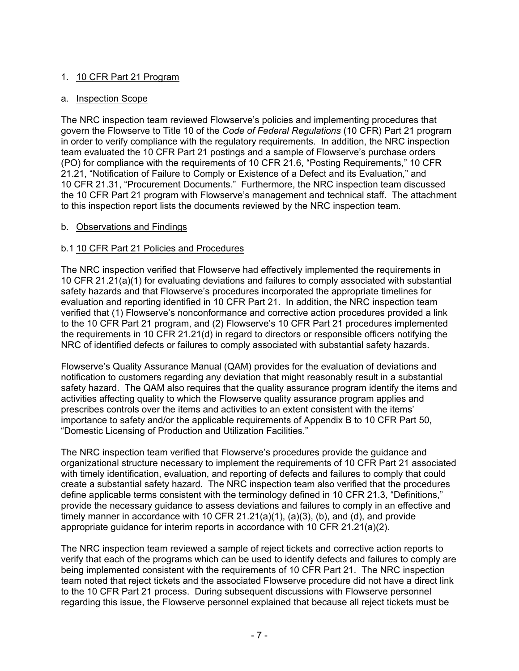## 1. 10 CFR Part 21 Program

## a. Inspection Scope

The NRC inspection team reviewed Flowserve's policies and implementing procedures that govern the Flowserve to Title 10 of the *Code of Federal Regulations* (10 CFR) Part 21 program in order to verify compliance with the regulatory requirements. In addition, the NRC inspection team evaluated the 10 CFR Part 21 postings and a sample of Flowserve's purchase orders (PO) for compliance with the requirements of 10 CFR 21.6, "Posting Requirements," 10 CFR 21.21, "Notification of Failure to Comply or Existence of a Defect and its Evaluation," and 10 CFR 21.31, "Procurement Documents." Furthermore, the NRC inspection team discussed the 10 CFR Part 21 program with Flowserve's management and technical staff. The attachment to this inspection report lists the documents reviewed by the NRC inspection team.

## b. Observations and Findings

## b.1 10 CFR Part 21 Policies and Procedures

The NRC inspection verified that Flowserve had effectively implemented the requirements in 10 CFR 21.21(a)(1) for evaluating deviations and failures to comply associated with substantial safety hazards and that Flowserve's procedures incorporated the appropriate timelines for evaluation and reporting identified in 10 CFR Part 21. In addition, the NRC inspection team verified that (1) Flowserve's nonconformance and corrective action procedures provided a link to the 10 CFR Part 21 program, and (2) Flowserve's 10 CFR Part 21 procedures implemented the requirements in 10 CFR 21.21(d) in regard to directors or responsible officers notifying the NRC of identified defects or failures to comply associated with substantial safety hazards.

Flowserve's Quality Assurance Manual (QAM) provides for the evaluation of deviations and notification to customers regarding any deviation that might reasonably result in a substantial safety hazard. The QAM also requires that the quality assurance program identify the items and activities affecting quality to which the Flowserve quality assurance program applies and prescribes controls over the items and activities to an extent consistent with the items' importance to safety and/or the applicable requirements of Appendix B to 10 CFR Part 50, "Domestic Licensing of Production and Utilization Facilities."

The NRC inspection team verified that Flowserve's procedures provide the guidance and organizational structure necessary to implement the requirements of 10 CFR Part 21 associated with timely identification, evaluation, and reporting of defects and failures to comply that could create a substantial safety hazard. The NRC inspection team also verified that the procedures define applicable terms consistent with the terminology defined in 10 CFR 21.3, "Definitions," provide the necessary guidance to assess deviations and failures to comply in an effective and timely manner in accordance with 10 CFR  $21.21(a)(1)$ ,  $(a)(3)$ ,  $(b)$ , and  $(d)$ , and provide appropriate guidance for interim reports in accordance with 10 CFR 21.21(a)(2).

The NRC inspection team reviewed a sample of reject tickets and corrective action reports to verify that each of the programs which can be used to identify defects and failures to comply are being implemented consistent with the requirements of 10 CFR Part 21. The NRC inspection team noted that reject tickets and the associated Flowserve procedure did not have a direct link to the 10 CFR Part 21 process. During subsequent discussions with Flowserve personnel regarding this issue, the Flowserve personnel explained that because all reject tickets must be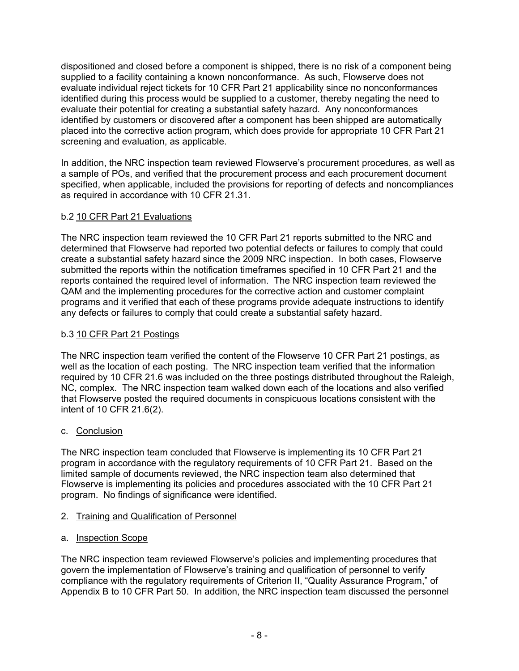dispositioned and closed before a component is shipped, there is no risk of a component being supplied to a facility containing a known nonconformance. As such, Flowserve does not evaluate individual reject tickets for 10 CFR Part 21 applicability since no nonconformances identified during this process would be supplied to a customer, thereby negating the need to evaluate their potential for creating a substantial safety hazard. Any nonconformances identified by customers or discovered after a component has been shipped are automatically placed into the corrective action program, which does provide for appropriate 10 CFR Part 21 screening and evaluation, as applicable.

In addition, the NRC inspection team reviewed Flowserve's procurement procedures, as well as a sample of POs, and verified that the procurement process and each procurement document specified, when applicable, included the provisions for reporting of defects and noncompliances as required in accordance with 10 CFR 21.31.

## b.2 10 CFR Part 21 Evaluations

The NRC inspection team reviewed the 10 CFR Part 21 reports submitted to the NRC and determined that Flowserve had reported two potential defects or failures to comply that could create a substantial safety hazard since the 2009 NRC inspection. In both cases, Flowserve submitted the reports within the notification timeframes specified in 10 CFR Part 21 and the reports contained the required level of information. The NRC inspection team reviewed the QAM and the implementing procedures for the corrective action and customer complaint programs and it verified that each of these programs provide adequate instructions to identify any defects or failures to comply that could create a substantial safety hazard.

## b.3 10 CFR Part 21 Postings

The NRC inspection team verified the content of the Flowserve 10 CFR Part 21 postings, as well as the location of each posting. The NRC inspection team verified that the information required by 10 CFR 21.6 was included on the three postings distributed throughout the Raleigh, NC, complex. The NRC inspection team walked down each of the locations and also verified that Flowserve posted the required documents in conspicuous locations consistent with the intent of 10 CFR 21.6(2).

## c. Conclusion

The NRC inspection team concluded that Flowserve is implementing its 10 CFR Part 21 program in accordance with the regulatory requirements of 10 CFR Part 21. Based on the limited sample of documents reviewed, the NRC inspection team also determined that Flowserve is implementing its policies and procedures associated with the 10 CFR Part 21 program. No findings of significance were identified.

## 2. Training and Qualification of Personnel

## a. Inspection Scope

The NRC inspection team reviewed Flowserve's policies and implementing procedures that govern the implementation of Flowserve's training and qualification of personnel to verify compliance with the regulatory requirements of Criterion II, "Quality Assurance Program," of Appendix B to 10 CFR Part 50. In addition, the NRC inspection team discussed the personnel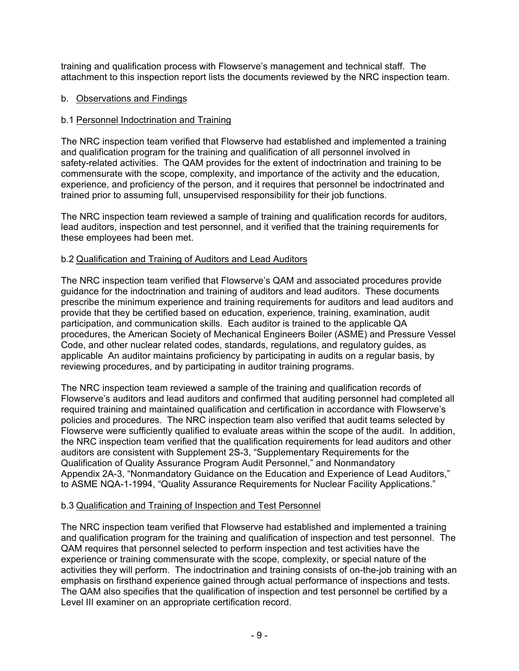training and qualification process with Flowserve's management and technical staff. The attachment to this inspection report lists the documents reviewed by the NRC inspection team.

## b. Observations and Findings

## b.1 Personnel Indoctrination and Training

The NRC inspection team verified that Flowserve had established and implemented a training and qualification program for the training and qualification of all personnel involved in safety-related activities. The QAM provides for the extent of indoctrination and training to be commensurate with the scope, complexity, and importance of the activity and the education, experience, and proficiency of the person, and it requires that personnel be indoctrinated and trained prior to assuming full, unsupervised responsibility for their job functions.

The NRC inspection team reviewed a sample of training and qualification records for auditors, lead auditors, inspection and test personnel, and it verified that the training requirements for these employees had been met.

## b.2 Qualification and Training of Auditors and Lead Auditors

The NRC inspection team verified that Flowserve's QAM and associated procedures provide guidance for the indoctrination and training of auditors and lead auditors. These documents prescribe the minimum experience and training requirements for auditors and lead auditors and provide that they be certified based on education, experience, training, examination, audit participation, and communication skills. Each auditor is trained to the applicable QA procedures, the American Society of Mechanical Engineers Boiler (ASME) and Pressure Vessel Code, and other nuclear related codes, standards, regulations, and regulatory guides, as applicable An auditor maintains proficiency by participating in audits on a regular basis, by reviewing procedures, and by participating in auditor training programs.

The NRC inspection team reviewed a sample of the training and qualification records of Flowserve's auditors and lead auditors and confirmed that auditing personnel had completed all required training and maintained qualification and certification in accordance with Flowserve's policies and procedures. The NRC inspection team also verified that audit teams selected by Flowserve were sufficiently qualified to evaluate areas within the scope of the audit. In addition, the NRC inspection team verified that the qualification requirements for lead auditors and other auditors are consistent with Supplement 2S-3, "Supplementary Requirements for the Qualification of Quality Assurance Program Audit Personnel," and Nonmandatory Appendix 2A-3, "Nonmandatory Guidance on the Education and Experience of Lead Auditors," to ASME NQA-1-1994, "Quality Assurance Requirements for Nuclear Facility Applications."

## b.3 Qualification and Training of Inspection and Test Personnel

The NRC inspection team verified that Flowserve had established and implemented a training and qualification program for the training and qualification of inspection and test personnel. The QAM requires that personnel selected to perform inspection and test activities have the experience or training commensurate with the scope, complexity, or special nature of the activities they will perform. The indoctrination and training consists of on-the-job training with an emphasis on firsthand experience gained through actual performance of inspections and tests. The QAM also specifies that the qualification of inspection and test personnel be certified by a Level III examiner on an appropriate certification record.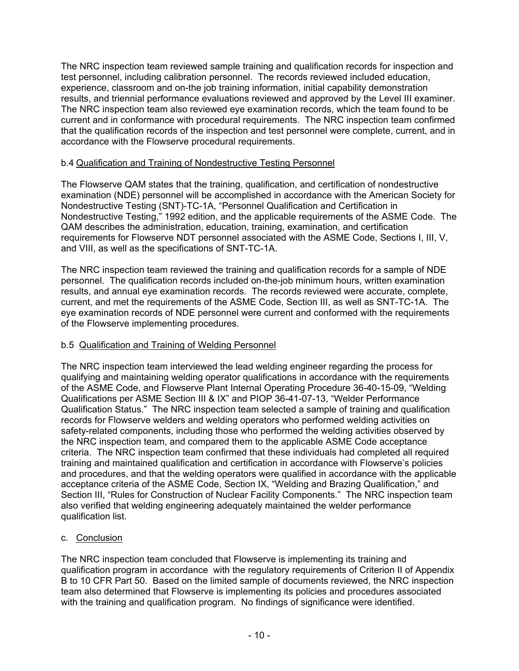The NRC inspection team reviewed sample training and qualification records for inspection and test personnel, including calibration personnel. The records reviewed included education, experience, classroom and on-the job training information, initial capability demonstration results, and triennial performance evaluations reviewed and approved by the Level III examiner. The NRC inspection team also reviewed eye examination records, which the team found to be current and in conformance with procedural requirements. The NRC inspection team confirmed that the qualification records of the inspection and test personnel were complete, current, and in accordance with the Flowserve procedural requirements.

## b.4 Qualification and Training of Nondestructive Testing Personnel

The Flowserve QAM states that the training, qualification, and certification of nondestructive examination (NDE) personnel will be accomplished in accordance with the American Society for Nondestructive Testing (SNT)-TC-1A, "Personnel Qualification and Certification in Nondestructive Testing," 1992 edition, and the applicable requirements of the ASME Code. The QAM describes the administration, education, training, examination, and certification requirements for Flowserve NDT personnel associated with the ASME Code, Sections I, III, V, and VIII, as well as the specifications of SNT-TC-1A.

The NRC inspection team reviewed the training and qualification records for a sample of NDE personnel. The qualification records included on-the-job minimum hours, written examination results, and annual eye examination records. The records reviewed were accurate, complete, current, and met the requirements of the ASME Code, Section III, as well as SNT-TC-1A. The eye examination records of NDE personnel were current and conformed with the requirements of the Flowserve implementing procedures.

## b.5 Qualification and Training of Welding Personnel

The NRC inspection team interviewed the lead welding engineer regarding the process for qualifying and maintaining welding operator qualifications in accordance with the requirements of the ASME Code, and Flowserve Plant Internal Operating Procedure 36-40-15-09, "Welding Qualifications per ASME Section III & IX" and PIOP 36-41-07-13, "Welder Performance Qualification Status." The NRC inspection team selected a sample of training and qualification records for Flowserve welders and welding operators who performed welding activities on safety-related components, including those who performed the welding activities observed by the NRC inspection team, and compared them to the applicable ASME Code acceptance criteria. The NRC inspection team confirmed that these individuals had completed all required training and maintained qualification and certification in accordance with Flowserve's policies and procedures, and that the welding operators were qualified in accordance with the applicable acceptance criteria of the ASME Code, Section IX, "Welding and Brazing Qualification," and Section III, "Rules for Construction of Nuclear Facility Components." The NRC inspection team also verified that welding engineering adequately maintained the welder performance qualification list.

## c. Conclusion

The NRC inspection team concluded that Flowserve is implementing its training and qualification program in accordance with the regulatory requirements of Criterion II of Appendix B to 10 CFR Part 50. Based on the limited sample of documents reviewed, the NRC inspection team also determined that Flowserve is implementing its policies and procedures associated with the training and qualification program. No findings of significance were identified.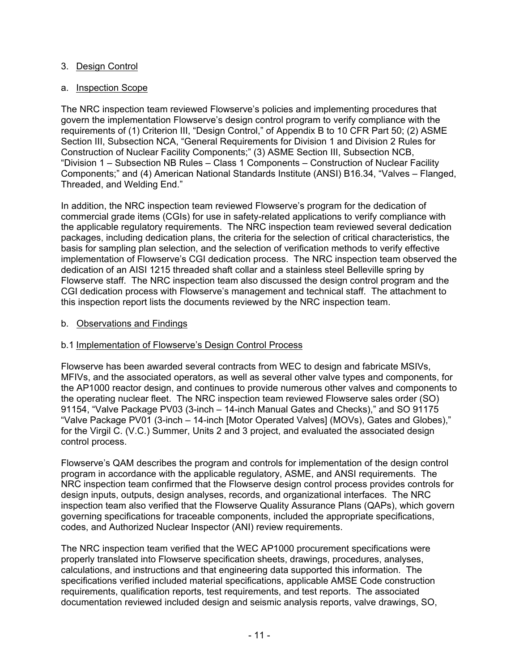## 3. Design Control

## a. Inspection Scope

The NRC inspection team reviewed Flowserve's policies and implementing procedures that govern the implementation Flowserve's design control program to verify compliance with the requirements of (1) Criterion III, "Design Control," of Appendix B to 10 CFR Part 50; (2) ASME Section III, Subsection NCA, "General Requirements for Division 1 and Division 2 Rules for Construction of Nuclear Facility Components;" (3) ASME Section III, Subsection NCB, "Division 1 – Subsection NB Rules – Class 1 Components – Construction of Nuclear Facility Components;" and (4) American National Standards Institute (ANSI) B16.34, "Valves – Flanged, Threaded, and Welding End."

In addition, the NRC inspection team reviewed Flowserve's program for the dedication of commercial grade items (CGIs) for use in safety-related applications to verify compliance with the applicable regulatory requirements. The NRC inspection team reviewed several dedication packages, including dedication plans, the criteria for the selection of critical characteristics, the basis for sampling plan selection, and the selection of verification methods to verify effective implementation of Flowserve's CGI dedication process. The NRC inspection team observed the dedication of an AISI 1215 threaded shaft collar and a stainless steel Belleville spring by Flowserve staff. The NRC inspection team also discussed the design control program and the CGI dedication process with Flowserve's management and technical staff. The attachment to this inspection report lists the documents reviewed by the NRC inspection team.

## b. Observations and Findings

## b.1 Implementation of Flowserve's Design Control Process

Flowserve has been awarded several contracts from WEC to design and fabricate MSIVs, MFIVs, and the associated operators, as well as several other valve types and components, for the AP1000 reactor design, and continues to provide numerous other valves and components to the operating nuclear fleet. The NRC inspection team reviewed Flowserve sales order (SO) 91154, "Valve Package PV03 (3-inch – 14-inch Manual Gates and Checks)," and SO 91175 "Valve Package PV01 (3-inch – 14-inch [Motor Operated Valves] (MOVs), Gates and Globes)," for the Virgil C. (V.C.) Summer, Units 2 and 3 project, and evaluated the associated design control process.

Flowserve's QAM describes the program and controls for implementation of the design control program in accordance with the applicable regulatory, ASME, and ANSI requirements. The NRC inspection team confirmed that the Flowserve design control process provides controls for design inputs, outputs, design analyses, records, and organizational interfaces. The NRC inspection team also verified that the Flowserve Quality Assurance Plans (QAPs), which govern governing specifications for traceable components, included the appropriate specifications, codes, and Authorized Nuclear Inspector (ANI) review requirements.

The NRC inspection team verified that the WEC AP1000 procurement specifications were properly translated into Flowserve specification sheets, drawings, procedures, analyses, calculations, and instructions and that engineering data supported this information. The specifications verified included material specifications, applicable AMSE Code construction requirements, qualification reports, test requirements, and test reports. The associated documentation reviewed included design and seismic analysis reports, valve drawings, SO,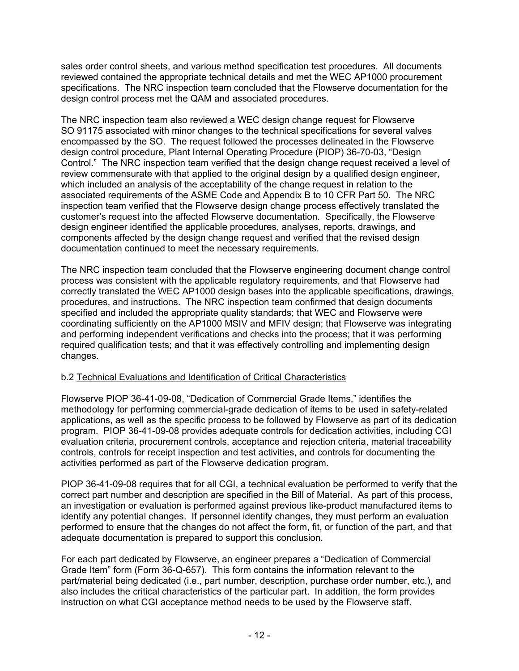sales order control sheets, and various method specification test procedures. All documents reviewed contained the appropriate technical details and met the WEC AP1000 procurement specifications. The NRC inspection team concluded that the Flowserve documentation for the design control process met the QAM and associated procedures.

The NRC inspection team also reviewed a WEC design change request for Flowserve SO 91175 associated with minor changes to the technical specifications for several valves encompassed by the SO. The request followed the processes delineated in the Flowserve design control procedure, Plant Internal Operating Procedure (PIOP) 36-70-03, "Design Control." The NRC inspection team verified that the design change request received a level of review commensurate with that applied to the original design by a qualified design engineer, which included an analysis of the acceptability of the change request in relation to the associated requirements of the ASME Code and Appendix B to 10 CFR Part 50. The NRC inspection team verified that the Flowserve design change process effectively translated the customer's request into the affected Flowserve documentation. Specifically, the Flowserve design engineer identified the applicable procedures, analyses, reports, drawings, and components affected by the design change request and verified that the revised design documentation continued to meet the necessary requirements.

The NRC inspection team concluded that the Flowserve engineering document change control process was consistent with the applicable regulatory requirements, and that Flowserve had correctly translated the WEC AP1000 design bases into the applicable specifications, drawings, procedures, and instructions. The NRC inspection team confirmed that design documents specified and included the appropriate quality standards; that WEC and Flowserve were coordinating sufficiently on the AP1000 MSIV and MFIV design; that Flowserve was integrating and performing independent verifications and checks into the process; that it was performing required qualification tests; and that it was effectively controlling and implementing design changes.

## b.2 Technical Evaluations and Identification of Critical Characteristics

Flowserve PIOP 36-41-09-08, "Dedication of Commercial Grade Items," identifies the methodology for performing commercial-grade dedication of items to be used in safety-related applications, as well as the specific process to be followed by Flowserve as part of its dedication program. PIOP 36-41-09-08 provides adequate controls for dedication activities, including CGI evaluation criteria, procurement controls, acceptance and rejection criteria, material traceability controls, controls for receipt inspection and test activities, and controls for documenting the activities performed as part of the Flowserve dedication program.

PIOP 36-41-09-08 requires that for all CGI, a technical evaluation be performed to verify that the correct part number and description are specified in the Bill of Material. As part of this process, an investigation or evaluation is performed against previous like-product manufactured items to identify any potential changes. If personnel identify changes, they must perform an evaluation performed to ensure that the changes do not affect the form, fit, or function of the part, and that adequate documentation is prepared to support this conclusion.

For each part dedicated by Flowserve, an engineer prepares a "Dedication of Commercial Grade Item" form (Form 36-Q-657). This form contains the information relevant to the part/material being dedicated (i.e., part number, description, purchase order number, etc.), and also includes the critical characteristics of the particular part. In addition, the form provides instruction on what CGI acceptance method needs to be used by the Flowserve staff.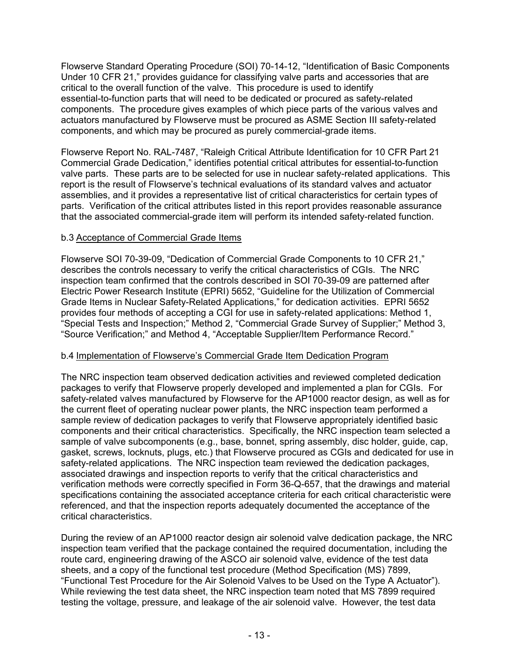Flowserve Standard Operating Procedure (SOI) 70-14-12, "Identification of Basic Components Under 10 CFR 21," provides guidance for classifying valve parts and accessories that are critical to the overall function of the valve. This procedure is used to identify essential-to-function parts that will need to be dedicated or procured as safety-related components. The procedure gives examples of which piece parts of the various valves and actuators manufactured by Flowserve must be procured as ASME Section III safety-related components, and which may be procured as purely commercial-grade items.

Flowserve Report No. RAL-7487, "Raleigh Critical Attribute Identification for 10 CFR Part 21 Commercial Grade Dedication," identifies potential critical attributes for essential-to-function valve parts. These parts are to be selected for use in nuclear safety-related applications. This report is the result of Flowserve's technical evaluations of its standard valves and actuator assemblies, and it provides a representative list of critical characteristics for certain types of parts. Verification of the critical attributes listed in this report provides reasonable assurance that the associated commercial-grade item will perform its intended safety-related function.

## b.3 Acceptance of Commercial Grade Items

Flowserve SOI 70-39-09, "Dedication of Commercial Grade Components to 10 CFR 21," describes the controls necessary to verify the critical characteristics of CGIs. The NRC inspection team confirmed that the controls described in SOI 70-39-09 are patterned after Electric Power Research Institute (EPRI) 5652, "Guideline for the Utilization of Commercial Grade Items in Nuclear Safety-Related Applications," for dedication activities. EPRI 5652 provides four methods of accepting a CGI for use in safety-related applications: Method 1, "Special Tests and Inspection;" Method 2, "Commercial Grade Survey of Supplier;" Method 3, "Source Verification;" and Method 4, "Acceptable Supplier/Item Performance Record."

## b.4 Implementation of Flowserve's Commercial Grade Item Dedication Program

The NRC inspection team observed dedication activities and reviewed completed dedication packages to verify that Flowserve properly developed and implemented a plan for CGIs. For safety-related valves manufactured by Flowserve for the AP1000 reactor design, as well as for the current fleet of operating nuclear power plants, the NRC inspection team performed a sample review of dedication packages to verify that Flowserve appropriately identified basic components and their critical characteristics. Specifically, the NRC inspection team selected a sample of valve subcomponents (e.g., base, bonnet, spring assembly, disc holder, guide, cap, gasket, screws, locknuts, plugs, etc.) that Flowserve procured as CGIs and dedicated for use in safety-related applications. The NRC inspection team reviewed the dedication packages, associated drawings and inspection reports to verify that the critical characteristics and verification methods were correctly specified in Form 36-Q-657, that the drawings and material specifications containing the associated acceptance criteria for each critical characteristic were referenced, and that the inspection reports adequately documented the acceptance of the critical characteristics.

During the review of an AP1000 reactor design air solenoid valve dedication package, the NRC inspection team verified that the package contained the required documentation, including the route card, engineering drawing of the ASCO air solenoid valve, evidence of the test data sheets, and a copy of the functional test procedure (Method Specification (MS) 7899, "Functional Test Procedure for the Air Solenoid Valves to be Used on the Type A Actuator"). While reviewing the test data sheet, the NRC inspection team noted that MS 7899 required testing the voltage, pressure, and leakage of the air solenoid valve. However, the test data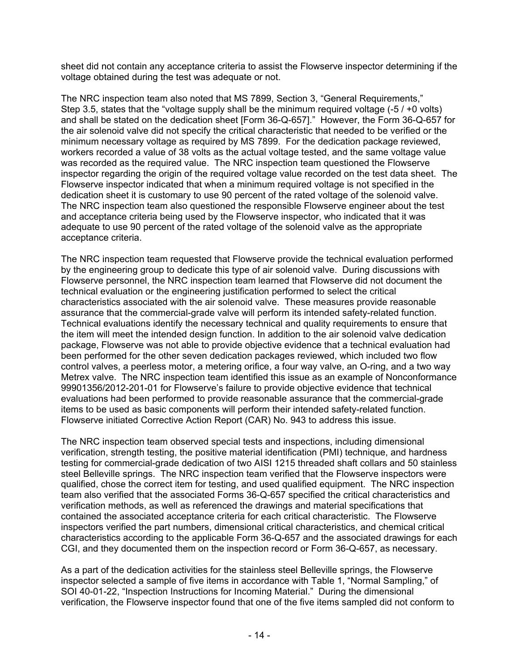sheet did not contain any acceptance criteria to assist the Flowserve inspector determining if the voltage obtained during the test was adequate or not.

The NRC inspection team also noted that MS 7899, Section 3, "General Requirements," Step 3.5, states that the "voltage supply shall be the minimum required voltage (-5 / +0 volts) and shall be stated on the dedication sheet [Form 36-Q-657]." However, the Form 36-Q-657 for the air solenoid valve did not specify the critical characteristic that needed to be verified or the minimum necessary voltage as required by MS 7899. For the dedication package reviewed, workers recorded a value of 38 volts as the actual voltage tested, and the same voltage value was recorded as the required value. The NRC inspection team questioned the Flowserve inspector regarding the origin of the required voltage value recorded on the test data sheet. The Flowserve inspector indicated that when a minimum required voltage is not specified in the dedication sheet it is customary to use 90 percent of the rated voltage of the solenoid valve. The NRC inspection team also questioned the responsible Flowserve engineer about the test and acceptance criteria being used by the Flowserve inspector, who indicated that it was adequate to use 90 percent of the rated voltage of the solenoid valve as the appropriate acceptance criteria.

The NRC inspection team requested that Flowserve provide the technical evaluation performed by the engineering group to dedicate this type of air solenoid valve. During discussions with Flowserve personnel, the NRC inspection team learned that Flowserve did not document the technical evaluation or the engineering justification performed to select the critical characteristics associated with the air solenoid valve. These measures provide reasonable assurance that the commercial-grade valve will perform its intended safety-related function. Technical evaluations identify the necessary technical and quality requirements to ensure that the item will meet the intended design function. In addition to the air solenoid valve dedication package, Flowserve was not able to provide objective evidence that a technical evaluation had been performed for the other seven dedication packages reviewed, which included two flow control valves, a peerless motor, a metering orifice, a four way valve, an O-ring, and a two way Metrex valve. The NRC inspection team identified this issue as an example of Nonconformance 99901356/2012-201-01 for Flowserve's failure to provide objective evidence that technical evaluations had been performed to provide reasonable assurance that the commercial-grade items to be used as basic components will perform their intended safety-related function. Flowserve initiated Corrective Action Report (CAR) No. 943 to address this issue.

The NRC inspection team observed special tests and inspections, including dimensional verification, strength testing, the positive material identification (PMI) technique, and hardness testing for commercial-grade dedication of two AISI 1215 threaded shaft collars and 50 stainless steel Belleville springs. The NRC inspection team verified that the Flowserve inspectors were qualified, chose the correct item for testing, and used qualified equipment. The NRC inspection team also verified that the associated Forms 36-Q-657 specified the critical characteristics and verification methods, as well as referenced the drawings and material specifications that contained the associated acceptance criteria for each critical characteristic. The Flowserve inspectors verified the part numbers, dimensional critical characteristics, and chemical critical characteristics according to the applicable Form 36-Q-657 and the associated drawings for each CGI, and they documented them on the inspection record or Form 36-Q-657, as necessary.

As a part of the dedication activities for the stainless steel Belleville springs, the Flowserve inspector selected a sample of five items in accordance with Table 1, "Normal Sampling," of SOI 40-01-22, "Inspection Instructions for Incoming Material." During the dimensional verification, the Flowserve inspector found that one of the five items sampled did not conform to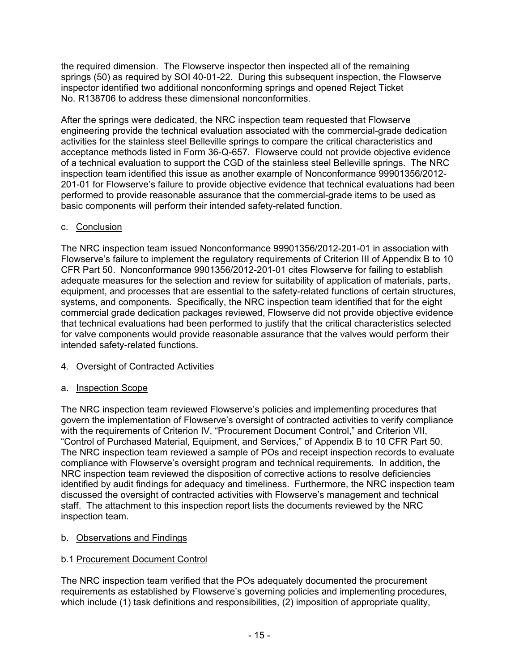the required dimension. The Flowserve inspector then inspected all of the remaining springs (50) as required by SOI 40-01-22. During this subsequent inspection, the Flowserve inspector identified two additional nonconforming springs and opened Reject Ticket No. R138706 to address these dimensional nonconformities.

After the springs were dedicated, the NRC inspection team requested that Flowserve engineering provide the technical evaluation associated with the commercial-grade dedication activities for the stainless steel Belleville springs to compare the critical characteristics and acceptance methods listed in Form 36-Q-657. Flowserve could not provide objective evidence of a technical evaluation to support the CGD of the stainless steel Belleville springs. The NRC inspection team identified this issue as another example of Nonconformance 99901356/2012- 201-01 for Flowserve's failure to provide objective evidence that technical evaluations had been performed to provide reasonable assurance that the commercial-grade items to be used as basic components will perform their intended safety-related function.

## c. Conclusion

The NRC inspection team issued Nonconformance 99901356/2012-201-01 in association with Flowserve's failure to implement the regulatory requirements of Criterion III of Appendix B to 10 CFR Part 50. Nonconformance 9901356/2012-201-01 cites Flowserve for failing to establish adequate measures for the selection and review for suitability of application of materials, parts, equipment, and processes that are essential to the safety-related functions of certain structures, systems, and components. Specifically, the NRC inspection team identified that for the eight commercial grade dedication packages reviewed, Flowserve did not provide objective evidence that technical evaluations had been performed to justify that the critical characteristics selected for valve components would provide reasonable assurance that the valves would perform their intended safety-related functions.

# 4. Oversight of Contracted Activities

## a. Inspection Scope

The NRC inspection team reviewed Flowserve's policies and implementing procedures that govern the implementation of Flowserve's oversight of contracted activities to verify compliance with the requirements of Criterion IV, "Procurement Document Control," and Criterion VII, "Control of Purchased Material, Equipment, and Services," of Appendix B to 10 CFR Part 50. The NRC inspection team reviewed a sample of POs and receipt inspection records to evaluate compliance with Flowserve's oversight program and technical requirements. In addition, the NRC inspection team reviewed the disposition of corrective actions to resolve deficiencies identified by audit findings for adequacy and timeliness. Furthermore, the NRC inspection team discussed the oversight of contracted activities with Flowserve's management and technical staff. The attachment to this inspection report lists the documents reviewed by the NRC inspection team.

# b. Observations and Findings

## b.1 Procurement Document Control

The NRC inspection team verified that the POs adequately documented the procurement requirements as established by Flowserve's governing policies and implementing procedures, which include (1) task definitions and responsibilities, (2) imposition of appropriate quality,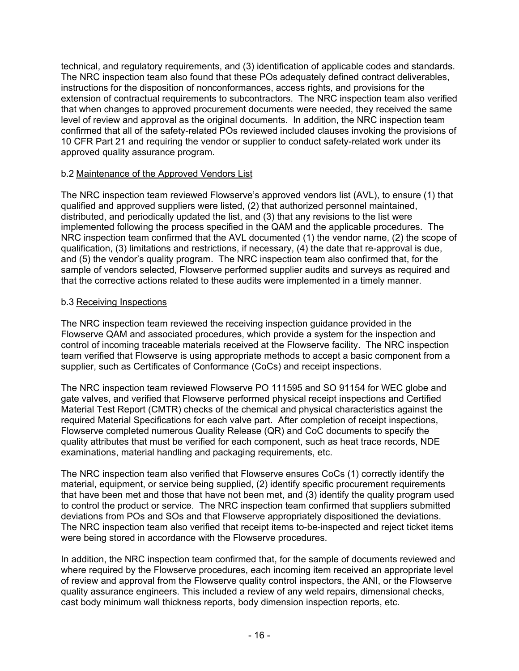technical, and regulatory requirements, and (3) identification of applicable codes and standards. The NRC inspection team also found that these POs adequately defined contract deliverables, instructions for the disposition of nonconformances, access rights, and provisions for the extension of contractual requirements to subcontractors. The NRC inspection team also verified that when changes to approved procurement documents were needed, they received the same level of review and approval as the original documents. In addition, the NRC inspection team confirmed that all of the safety-related POs reviewed included clauses invoking the provisions of 10 CFR Part 21 and requiring the vendor or supplier to conduct safety-related work under its approved quality assurance program.

## b.2 Maintenance of the Approved Vendors List

The NRC inspection team reviewed Flowserve's approved vendors list (AVL), to ensure (1) that qualified and approved suppliers were listed, (2) that authorized personnel maintained, distributed, and periodically updated the list, and (3) that any revisions to the list were implemented following the process specified in the QAM and the applicable procedures. The NRC inspection team confirmed that the AVL documented (1) the vendor name, (2) the scope of qualification, (3) limitations and restrictions, if necessary, (4) the date that re-approval is due, and (5) the vendor's quality program. The NRC inspection team also confirmed that, for the sample of vendors selected, Flowserve performed supplier audits and surveys as required and that the corrective actions related to these audits were implemented in a timely manner.

## b.3 Receiving Inspections

The NRC inspection team reviewed the receiving inspection guidance provided in the Flowserve QAM and associated procedures, which provide a system for the inspection and control of incoming traceable materials received at the Flowserve facility. The NRC inspection team verified that Flowserve is using appropriate methods to accept a basic component from a supplier, such as Certificates of Conformance (CoCs) and receipt inspections.

The NRC inspection team reviewed Flowserve PO 111595 and SO 91154 for WEC globe and gate valves, and verified that Flowserve performed physical receipt inspections and Certified Material Test Report (CMTR) checks of the chemical and physical characteristics against the required Material Specifications for each valve part. After completion of receipt inspections, Flowserve completed numerous Quality Release (QR) and CoC documents to specify the quality attributes that must be verified for each component, such as heat trace records, NDE examinations, material handling and packaging requirements, etc.

The NRC inspection team also verified that Flowserve ensures CoCs (1) correctly identify the material, equipment, or service being supplied, (2) identify specific procurement requirements that have been met and those that have not been met, and (3) identify the quality program used to control the product or service. The NRC inspection team confirmed that suppliers submitted deviations from POs and SOs and that Flowserve appropriately dispositioned the deviations. The NRC inspection team also verified that receipt items to-be-inspected and reject ticket items were being stored in accordance with the Flowserve procedures.

In addition, the NRC inspection team confirmed that, for the sample of documents reviewed and where required by the Flowserve procedures, each incoming item received an appropriate level of review and approval from the Flowserve quality control inspectors, the ANI, or the Flowserve quality assurance engineers. This included a review of any weld repairs, dimensional checks, cast body minimum wall thickness reports, body dimension inspection reports, etc.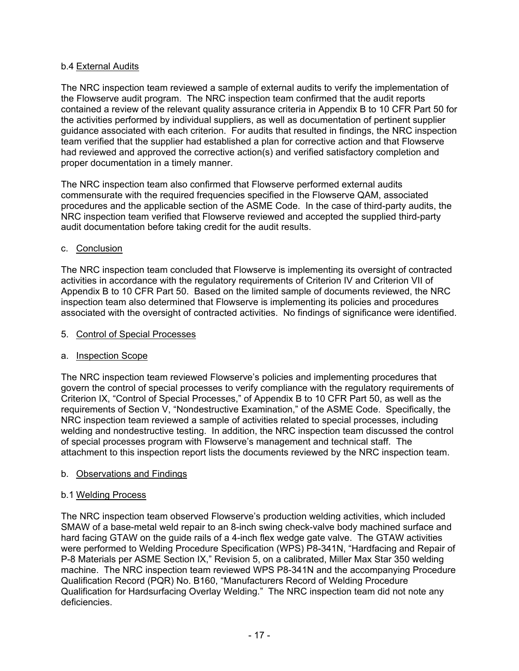## b.4 External Audits

The NRC inspection team reviewed a sample of external audits to verify the implementation of the Flowserve audit program. The NRC inspection team confirmed that the audit reports contained a review of the relevant quality assurance criteria in Appendix B to 10 CFR Part 50 for the activities performed by individual suppliers, as well as documentation of pertinent supplier guidance associated with each criterion. For audits that resulted in findings, the NRC inspection team verified that the supplier had established a plan for corrective action and that Flowserve had reviewed and approved the corrective action(s) and verified satisfactory completion and proper documentation in a timely manner.

The NRC inspection team also confirmed that Flowserve performed external audits commensurate with the required frequencies specified in the Flowserve QAM, associated procedures and the applicable section of the ASME Code. In the case of third-party audits, the NRC inspection team verified that Flowserve reviewed and accepted the supplied third-party audit documentation before taking credit for the audit results.

## c. Conclusion

The NRC inspection team concluded that Flowserve is implementing its oversight of contracted activities in accordance with the regulatory requirements of Criterion IV and Criterion VII of Appendix B to 10 CFR Part 50. Based on the limited sample of documents reviewed, the NRC inspection team also determined that Flowserve is implementing its policies and procedures associated with the oversight of contracted activities. No findings of significance were identified.

#### 5. Control of Special Processes

## a. Inspection Scope

The NRC inspection team reviewed Flowserve's policies and implementing procedures that govern the control of special processes to verify compliance with the regulatory requirements of Criterion IX, "Control of Special Processes," of Appendix B to 10 CFR Part 50, as well as the requirements of Section V, "Nondestructive Examination," of the ASME Code. Specifically, the NRC inspection team reviewed a sample of activities related to special processes, including welding and nondestructive testing. In addition, the NRC inspection team discussed the control of special processes program with Flowserve's management and technical staff. The attachment to this inspection report lists the documents reviewed by the NRC inspection team.

## b. Observations and Findings

## b.1 Welding Process

The NRC inspection team observed Flowserve's production welding activities, which included SMAW of a base-metal weld repair to an 8-inch swing check-valve body machined surface and hard facing GTAW on the guide rails of a 4-inch flex wedge gate valve. The GTAW activities were performed to Welding Procedure Specification (WPS) P8-341N, "Hardfacing and Repair of P-8 Materials per ASME Section IX," Revision 5, on a calibrated, Miller Max Star 350 welding machine. The NRC inspection team reviewed WPS P8-341N and the accompanying Procedure Qualification Record (PQR) No. B160, "Manufacturers Record of Welding Procedure Qualification for Hardsurfacing Overlay Welding." The NRC inspection team did not note any deficiencies.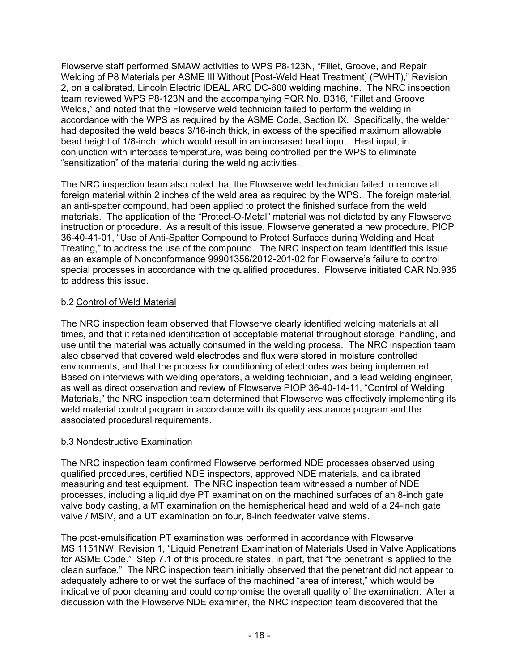Flowserve staff performed SMAW activities to WPS P8-123N, "Fillet, Groove, and Repair Welding of P8 Materials per ASME III Without [Post-Weld Heat Treatment] (PWHT)," Revision 2, on a calibrated, Lincoln Electric IDEAL ARC DC-600 welding machine. The NRC inspection team reviewed WPS P8-123N and the accompanying PQR No. B316, "Fillet and Groove Welds," and noted that the Flowserve weld technician failed to perform the welding in accordance with the WPS as required by the ASME Code, Section IX. Specifically, the welder had deposited the weld beads 3/16-inch thick, in excess of the specified maximum allowable bead height of 1/8-inch, which would result in an increased heat input. Heat input, in conjunction with interpass temperature, was being controlled per the WPS to eliminate "sensitization" of the material during the welding activities.

The NRC inspection team also noted that the Flowserve weld technician failed to remove all foreign material within 2 inches of the weld area as required by the WPS. The foreign material, an anti-spatter compound, had been applied to protect the finished surface from the weld materials. The application of the "Protect-O-Metal" material was not dictated by any Flowserve instruction or procedure. As a result of this issue, Flowserve generated a new procedure, PIOP 36-40-41-01, "Use of Anti-Spatter Compound to Protect Surfaces during Welding and Heat Treating," to address the use of the compound. The NRC inspection team identified this issue as an example of Nonconformance 99901356/2012-201-02 for Flowserve's failure to control special processes in accordance with the qualified procedures. Flowserve initiated CAR No.935 to address this issue.

## b.2 Control of Weld Material

The NRC inspection team observed that Flowserve clearly identified welding materials at all times, and that it retained identification of acceptable material throughout storage, handling, and use until the material was actually consumed in the welding process. The NRC inspection team also observed that covered weld electrodes and flux were stored in moisture controlled environments, and that the process for conditioning of electrodes was being implemented. Based on interviews with welding operators, a welding technician, and a lead welding engineer, as well as direct observation and review of Flowserve PIOP 36-40-14-11, "Control of Welding Materials," the NRC inspection team determined that Flowserve was effectively implementing its weld material control program in accordance with its quality assurance program and the associated procedural requirements.

## b.3 Nondestructive Examination

The NRC inspection team confirmed Flowserve performed NDE processes observed using qualified procedures, certified NDE inspectors, approved NDE materials, and calibrated measuring and test equipment. The NRC inspection team witnessed a number of NDE processes, including a liquid dye PT examination on the machined surfaces of an 8-inch gate valve body casting, a MT examination on the hemispherical head and weld of a 24-inch gate valve / MSIV, and a UT examination on four, 8-inch feedwater valve stems.

The post-emulsification PT examination was performed in accordance with Flowserve MS 1151NW, Revision 1, "Liquid Penetrant Examination of Materials Used in Valve Applications for ASME Code." Step 7.1 of this procedure states, in part, that "the penetrant is applied to the clean surface." The NRC inspection team initially observed that the penetrant did not appear to adequately adhere to or wet the surface of the machined "area of interest," which would be indicative of poor cleaning and could compromise the overall quality of the examination. After a discussion with the Flowserve NDE examiner, the NRC inspection team discovered that the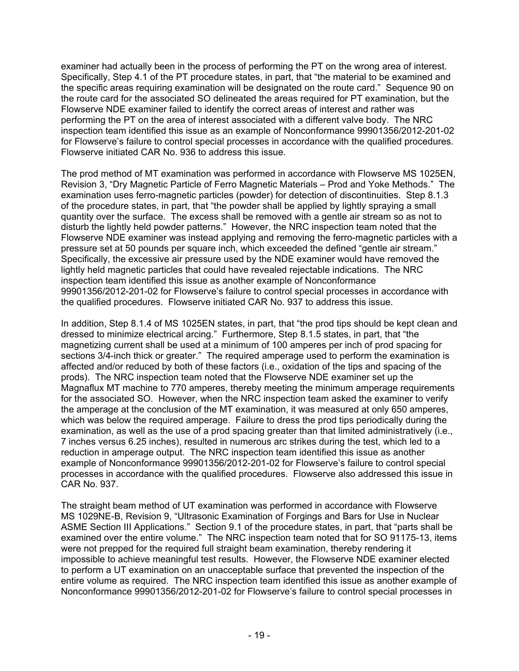examiner had actually been in the process of performing the PT on the wrong area of interest. Specifically, Step 4.1 of the PT procedure states, in part, that "the material to be examined and the specific areas requiring examination will be designated on the route card." Sequence 90 on the route card for the associated SO delineated the areas required for PT examination, but the Flowserve NDE examiner failed to identify the correct areas of interest and rather was performing the PT on the area of interest associated with a different valve body. The NRC inspection team identified this issue as an example of Nonconformance 99901356/2012-201-02 for Flowserve's failure to control special processes in accordance with the qualified procedures. Flowserve initiated CAR No. 936 to address this issue.

The prod method of MT examination was performed in accordance with Flowserve MS 1025EN, Revision 3, "Dry Magnetic Particle of Ferro Magnetic Materials – Prod and Yoke Methods." The examination uses ferro-magnetic particles (powder) for detection of discontinuities. Step 8.1.3 of the procedure states, in part, that "the powder shall be applied by lightly spraying a small quantity over the surface. The excess shall be removed with a gentle air stream so as not to disturb the lightly held powder patterns." However, the NRC inspection team noted that the Flowserve NDE examiner was instead applying and removing the ferro-magnetic particles with a pressure set at 50 pounds per square inch, which exceeded the defined "gentle air stream." Specifically, the excessive air pressure used by the NDE examiner would have removed the lightly held magnetic particles that could have revealed rejectable indications. The NRC inspection team identified this issue as another example of Nonconformance 99901356/2012-201-02 for Flowserve's failure to control special processes in accordance with the qualified procedures. Flowserve initiated CAR No. 937 to address this issue.

In addition, Step 8.1.4 of MS 1025EN states, in part, that "the prod tips should be kept clean and dressed to minimize electrical arcing." Furthermore, Step 8.1.5 states, in part, that "the magnetizing current shall be used at a minimum of 100 amperes per inch of prod spacing for sections 3/4-inch thick or greater." The required amperage used to perform the examination is affected and/or reduced by both of these factors (i.e., oxidation of the tips and spacing of the prods). The NRC inspection team noted that the Flowserve NDE examiner set up the Magnaflux MT machine to 770 amperes, thereby meeting the minimum amperage requirements for the associated SO. However, when the NRC inspection team asked the examiner to verify the amperage at the conclusion of the MT examination, it was measured at only 650 amperes, which was below the required amperage. Failure to dress the prod tips periodically during the examination, as well as the use of a prod spacing greater than that limited administratively (i.e., 7 inches versus 6.25 inches), resulted in numerous arc strikes during the test, which led to a reduction in amperage output. The NRC inspection team identified this issue as another example of Nonconformance 99901356/2012-201-02 for Flowserve's failure to control special processes in accordance with the qualified procedures. Flowserve also addressed this issue in CAR No. 937.

The straight beam method of UT examination was performed in accordance with Flowserve MS 1029NE-B, Revision 9, "Ultrasonic Examination of Forgings and Bars for Use in Nuclear ASME Section III Applications." Section 9.1 of the procedure states, in part, that "parts shall be examined over the entire volume." The NRC inspection team noted that for SO 91175-13, items were not prepped for the required full straight beam examination, thereby rendering it impossible to achieve meaningful test results. However, the Flowserve NDE examiner elected to perform a UT examination on an unacceptable surface that prevented the inspection of the entire volume as required. The NRC inspection team identified this issue as another example of Nonconformance 99901356/2012-201-02 for Flowserve's failure to control special processes in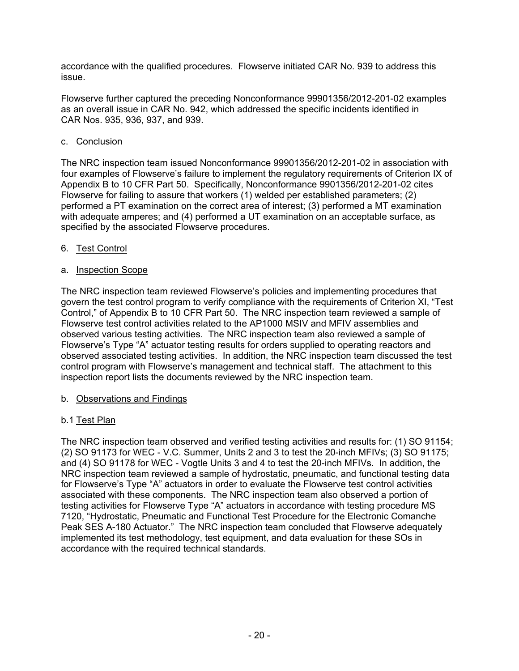accordance with the qualified procedures. Flowserve initiated CAR No. 939 to address this issue.

Flowserve further captured the preceding Nonconformance 99901356/2012-201-02 examples as an overall issue in CAR No. 942, which addressed the specific incidents identified in CAR Nos. 935, 936, 937, and 939.

## c. Conclusion

The NRC inspection team issued Nonconformance 99901356/2012-201-02 in association with four examples of Flowserve's failure to implement the regulatory requirements of Criterion IX of Appendix B to 10 CFR Part 50. Specifically, Nonconformance 9901356/2012-201-02 cites Flowserve for failing to assure that workers (1) welded per established parameters; (2) performed a PT examination on the correct area of interest; (3) performed a MT examination with adequate amperes; and (4) performed a UT examination on an acceptable surface, as specified by the associated Flowserve procedures.

## 6. Test Control

## a. Inspection Scope

The NRC inspection team reviewed Flowserve's policies and implementing procedures that govern the test control program to verify compliance with the requirements of Criterion XI, "Test Control," of Appendix B to 10 CFR Part 50. The NRC inspection team reviewed a sample of Flowserve test control activities related to the AP1000 MSIV and MFIV assemblies and observed various testing activities. The NRC inspection team also reviewed a sample of Flowserve's Type "A" actuator testing results for orders supplied to operating reactors and observed associated testing activities. In addition, the NRC inspection team discussed the test control program with Flowserve's management and technical staff. The attachment to this inspection report lists the documents reviewed by the NRC inspection team.

## b. Observations and Findings

## b.1 Test Plan

The NRC inspection team observed and verified testing activities and results for: (1) SO 91154; (2) SO 91173 for WEC - V.C. Summer, Units 2 and 3 to test the 20-inch MFIVs; (3) SO 91175; and (4) SO 91178 for WEC - Vogtle Units 3 and 4 to test the 20-inch MFIVs. In addition, the NRC inspection team reviewed a sample of hydrostatic, pneumatic, and functional testing data for Flowserve's Type "A" actuators in order to evaluate the Flowserve test control activities associated with these components. The NRC inspection team also observed a portion of testing activities for Flowserve Type "A" actuators in accordance with testing procedure MS 7120, "Hydrostatic, Pneumatic and Functional Test Procedure for the Electronic Comanche Peak SES A-180 Actuator." The NRC inspection team concluded that Flowserve adequately implemented its test methodology, test equipment, and data evaluation for these SOs in accordance with the required technical standards.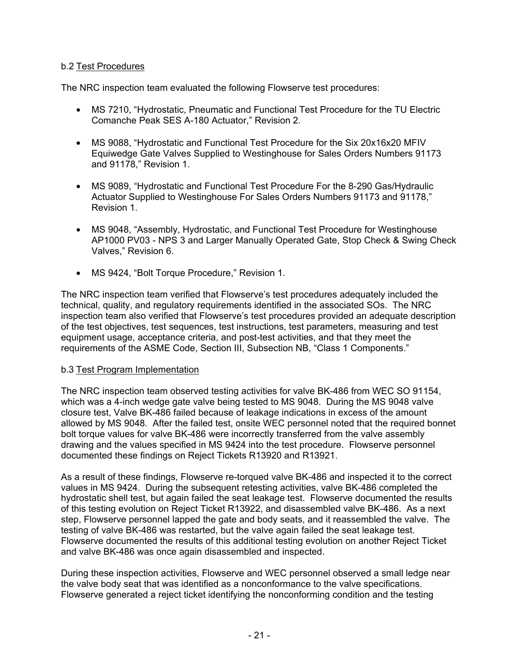## b.2 Test Procedures

The NRC inspection team evaluated the following Flowserve test procedures:

- MS 7210, "Hydrostatic, Pneumatic and Functional Test Procedure for the TU Electric Comanche Peak SES A-180 Actuator," Revision 2.
- MS 9088, "Hydrostatic and Functional Test Procedure for the Six 20x16x20 MFIV Equiwedge Gate Valves Supplied to Westinghouse for Sales Orders Numbers 91173 and 91178," Revision 1.
- MS 9089, "Hydrostatic and Functional Test Procedure For the 8-290 Gas/Hydraulic Actuator Supplied to Westinghouse For Sales Orders Numbers 91173 and 91178," Revision 1.
- MS 9048, "Assembly, Hydrostatic, and Functional Test Procedure for Westinghouse AP1000 PV03 - NPS 3 and Larger Manually Operated Gate, Stop Check & Swing Check Valves," Revision 6.
- MS 9424, "Bolt Torque Procedure," Revision 1.

The NRC inspection team verified that Flowserve's test procedures adequately included the technical, quality, and regulatory requirements identified in the associated SOs. The NRC inspection team also verified that Flowserve's test procedures provided an adequate description of the test objectives, test sequences, test instructions, test parameters, measuring and test equipment usage, acceptance criteria, and post-test activities, and that they meet the requirements of the ASME Code, Section III, Subsection NB, "Class 1 Components."

## b.3 Test Program Implementation

The NRC inspection team observed testing activities for valve BK-486 from WEC SO 91154, which was a 4-inch wedge gate valve being tested to MS 9048. During the MS 9048 valve closure test, Valve BK-486 failed because of leakage indications in excess of the amount allowed by MS 9048. After the failed test, onsite WEC personnel noted that the required bonnet bolt torque values for valve BK-486 were incorrectly transferred from the valve assembly drawing and the values specified in MS 9424 into the test procedure. Flowserve personnel documented these findings on Reject Tickets R13920 and R13921.

As a result of these findings, Flowserve re-torqued valve BK-486 and inspected it to the correct values in MS 9424. During the subsequent retesting activities, valve BK-486 completed the hydrostatic shell test, but again failed the seat leakage test. Flowserve documented the results of this testing evolution on Reject Ticket R13922, and disassembled valve BK-486. As a next step, Flowserve personnel lapped the gate and body seats, and it reassembled the valve. The testing of valve BK-486 was restarted, but the valve again failed the seat leakage test. Flowserve documented the results of this additional testing evolution on another Reject Ticket and valve BK-486 was once again disassembled and inspected.

During these inspection activities, Flowserve and WEC personnel observed a small ledge near the valve body seat that was identified as a nonconformance to the valve specifications. Flowserve generated a reject ticket identifying the nonconforming condition and the testing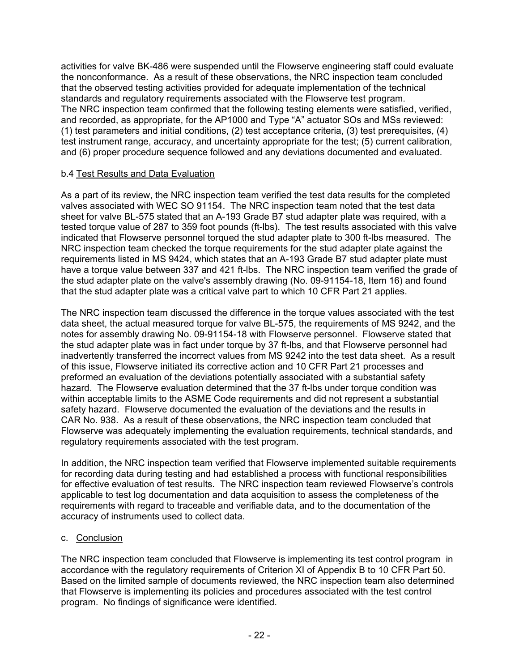activities for valve BK-486 were suspended until the Flowserve engineering staff could evaluate the nonconformance. As a result of these observations, the NRC inspection team concluded that the observed testing activities provided for adequate implementation of the technical standards and regulatory requirements associated with the Flowserve test program. The NRC inspection team confirmed that the following testing elements were satisfied, verified, and recorded, as appropriate, for the AP1000 and Type "A" actuator SOs and MSs reviewed: (1) test parameters and initial conditions, (2) test acceptance criteria, (3) test prerequisites, (4) test instrument range, accuracy, and uncertainty appropriate for the test; (5) current calibration, and (6) proper procedure sequence followed and any deviations documented and evaluated.

## b.4 Test Results and Data Evaluation

As a part of its review, the NRC inspection team verified the test data results for the completed valves associated with WEC SO 91154. The NRC inspection team noted that the test data sheet for valve BL-575 stated that an A-193 Grade B7 stud adapter plate was required, with a tested torque value of 287 to 359 foot pounds (ft-lbs). The test results associated with this valve indicated that Flowserve personnel torqued the stud adapter plate to 300 ft-lbs measured. The NRC inspection team checked the torque requirements for the stud adapter plate against the requirements listed in MS 9424, which states that an A-193 Grade B7 stud adapter plate must have a torque value between 337 and 421 ft-lbs. The NRC inspection team verified the grade of the stud adapter plate on the valve's assembly drawing (No. 09-91154-18, Item 16) and found that the stud adapter plate was a critical valve part to which 10 CFR Part 21 applies.

The NRC inspection team discussed the difference in the torque values associated with the test data sheet, the actual measured torque for valve BL-575, the requirements of MS 9242, and the notes for assembly drawing No. 09-91154-18 with Flowserve personnel. Flowserve stated that the stud adapter plate was in fact under torque by 37 ft-lbs, and that Flowserve personnel had inadvertently transferred the incorrect values from MS 9242 into the test data sheet. As a result of this issue, Flowserve initiated its corrective action and 10 CFR Part 21 processes and preformed an evaluation of the deviations potentially associated with a substantial safety hazard. The Flowserve evaluation determined that the 37 ft-lbs under torque condition was within acceptable limits to the ASME Code requirements and did not represent a substantial safety hazard. Flowserve documented the evaluation of the deviations and the results in CAR No. 938. As a result of these observations, the NRC inspection team concluded that Flowserve was adequately implementing the evaluation requirements, technical standards, and regulatory requirements associated with the test program.

In addition, the NRC inspection team verified that Flowserve implemented suitable requirements for recording data during testing and had established a process with functional responsibilities for effective evaluation of test results. The NRC inspection team reviewed Flowserve's controls applicable to test log documentation and data acquisition to assess the completeness of the requirements with regard to traceable and verifiable data, and to the documentation of the accuracy of instruments used to collect data.

## c. Conclusion

The NRC inspection team concluded that Flowserve is implementing its test control program in accordance with the regulatory requirements of Criterion XI of Appendix B to 10 CFR Part 50. Based on the limited sample of documents reviewed, the NRC inspection team also determined that Flowserve is implementing its policies and procedures associated with the test control program. No findings of significance were identified.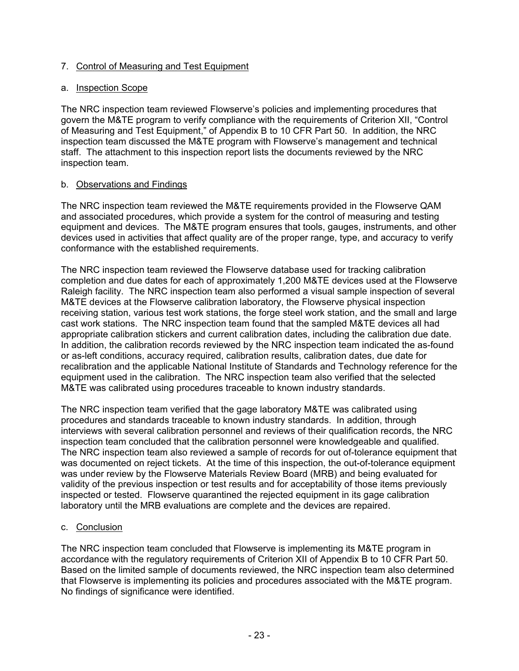## 7. Control of Measuring and Test Equipment

## a. Inspection Scope

The NRC inspection team reviewed Flowserve's policies and implementing procedures that govern the M&TE program to verify compliance with the requirements of Criterion XII, "Control of Measuring and Test Equipment," of Appendix B to 10 CFR Part 50. In addition, the NRC inspection team discussed the M&TE program with Flowserve's management and technical staff. The attachment to this inspection report lists the documents reviewed by the NRC inspection team.

## b. Observations and Findings

The NRC inspection team reviewed the M&TE requirements provided in the Flowserve QAM and associated procedures, which provide a system for the control of measuring and testing equipment and devices. The M&TE program ensures that tools, gauges, instruments, and other devices used in activities that affect quality are of the proper range, type, and accuracy to verify conformance with the established requirements.

The NRC inspection team reviewed the Flowserve database used for tracking calibration completion and due dates for each of approximately 1,200 M&TE devices used at the Flowserve Raleigh facility. The NRC inspection team also performed a visual sample inspection of several M&TE devices at the Flowserve calibration laboratory, the Flowserve physical inspection receiving station, various test work stations, the forge steel work station, and the small and large cast work stations. The NRC inspection team found that the sampled M&TE devices all had appropriate calibration stickers and current calibration dates, including the calibration due date. In addition, the calibration records reviewed by the NRC inspection team indicated the as-found or as-left conditions, accuracy required, calibration results, calibration dates, due date for recalibration and the applicable National Institute of Standards and Technology reference for the equipment used in the calibration. The NRC inspection team also verified that the selected M&TE was calibrated using procedures traceable to known industry standards.

The NRC inspection team verified that the gage laboratory M&TE was calibrated using procedures and standards traceable to known industry standards. In addition, through interviews with several calibration personnel and reviews of their qualification records, the NRC inspection team concluded that the calibration personnel were knowledgeable and qualified. The NRC inspection team also reviewed a sample of records for out of-tolerance equipment that was documented on reject tickets. At the time of this inspection, the out-of-tolerance equipment was under review by the Flowserve Materials Review Board (MRB) and being evaluated for validity of the previous inspection or test results and for acceptability of those items previously inspected or tested. Flowserve quarantined the rejected equipment in its gage calibration laboratory until the MRB evaluations are complete and the devices are repaired.

## c. Conclusion

The NRC inspection team concluded that Flowserve is implementing its M&TE program in accordance with the regulatory requirements of Criterion XII of Appendix B to 10 CFR Part 50. Based on the limited sample of documents reviewed, the NRC inspection team also determined that Flowserve is implementing its policies and procedures associated with the M&TE program. No findings of significance were identified.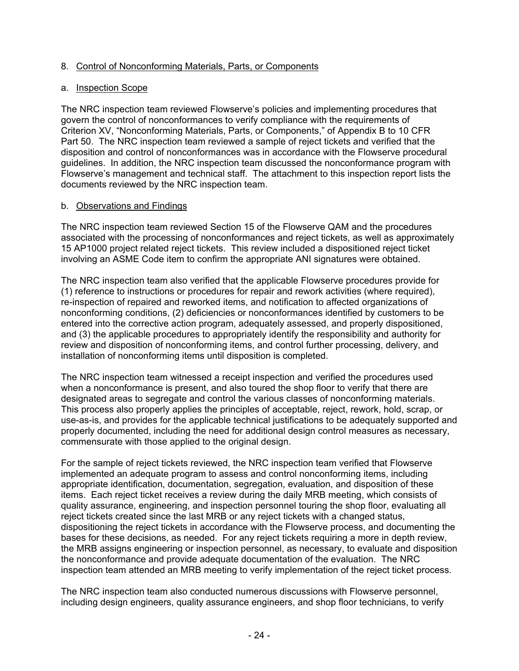## 8. Control of Nonconforming Materials, Parts, or Components

#### a. Inspection Scope

The NRC inspection team reviewed Flowserve's policies and implementing procedures that govern the control of nonconformances to verify compliance with the requirements of Criterion XV, "Nonconforming Materials, Parts, or Components," of Appendix B to 10 CFR Part 50. The NRC inspection team reviewed a sample of reject tickets and verified that the disposition and control of nonconformances was in accordance with the Flowserve procedural guidelines. In addition, the NRC inspection team discussed the nonconformance program with Flowserve's management and technical staff. The attachment to this inspection report lists the documents reviewed by the NRC inspection team.

## b. Observations and Findings

The NRC inspection team reviewed Section 15 of the Flowserve QAM and the procedures associated with the processing of nonconformances and reject tickets, as well as approximately 15 AP1000 project related reject tickets. This review included a dispositioned reject ticket involving an ASME Code item to confirm the appropriate ANI signatures were obtained.

The NRC inspection team also verified that the applicable Flowserve procedures provide for (1) reference to instructions or procedures for repair and rework activities (where required), re-inspection of repaired and reworked items, and notification to affected organizations of nonconforming conditions, (2) deficiencies or nonconformances identified by customers to be entered into the corrective action program, adequately assessed, and properly dispositioned, and (3) the applicable procedures to appropriately identify the responsibility and authority for review and disposition of nonconforming items, and control further processing, delivery, and installation of nonconforming items until disposition is completed.

The NRC inspection team witnessed a receipt inspection and verified the procedures used when a nonconformance is present, and also toured the shop floor to verify that there are designated areas to segregate and control the various classes of nonconforming materials. This process also properly applies the principles of acceptable, reject, rework, hold, scrap, or use-as-is, and provides for the applicable technical justifications to be adequately supported and properly documented, including the need for additional design control measures as necessary, commensurate with those applied to the original design.

For the sample of reject tickets reviewed, the NRC inspection team verified that Flowserve implemented an adequate program to assess and control nonconforming items, including appropriate identification, documentation, segregation, evaluation, and disposition of these items. Each reject ticket receives a review during the daily MRB meeting, which consists of quality assurance, engineering, and inspection personnel touring the shop floor, evaluating all reject tickets created since the last MRB or any reject tickets with a changed status, dispositioning the reject tickets in accordance with the Flowserve process, and documenting the bases for these decisions, as needed. For any reject tickets requiring a more in depth review, the MRB assigns engineering or inspection personnel, as necessary, to evaluate and disposition the nonconformance and provide adequate documentation of the evaluation. The NRC inspection team attended an MRB meeting to verify implementation of the reject ticket process.

The NRC inspection team also conducted numerous discussions with Flowserve personnel, including design engineers, quality assurance engineers, and shop floor technicians, to verify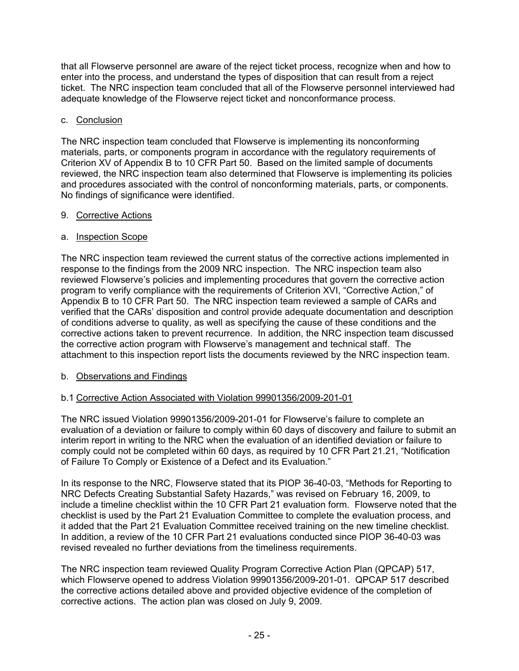that all Flowserve personnel are aware of the reject ticket process, recognize when and how to enter into the process, and understand the types of disposition that can result from a reject ticket. The NRC inspection team concluded that all of the Flowserve personnel interviewed had adequate knowledge of the Flowserve reject ticket and nonconformance process.

## c. Conclusion

The NRC inspection team concluded that Flowserve is implementing its nonconforming materials, parts, or components program in accordance with the regulatory requirements of Criterion XV of Appendix B to 10 CFR Part 50. Based on the limited sample of documents reviewed, the NRC inspection team also determined that Flowserve is implementing its policies and procedures associated with the control of nonconforming materials, parts, or components. No findings of significance were identified.

## 9. Corrective Actions

## a. Inspection Scope

The NRC inspection team reviewed the current status of the corrective actions implemented in response to the findings from the 2009 NRC inspection. The NRC inspection team also reviewed Flowserve's policies and implementing procedures that govern the corrective action program to verify compliance with the requirements of Criterion XVI, "Corrective Action," of Appendix B to 10 CFR Part 50. The NRC inspection team reviewed a sample of CARs and verified that the CARs' disposition and control provide adequate documentation and description of conditions adverse to quality, as well as specifying the cause of these conditions and the corrective actions taken to prevent recurrence. In addition, the NRC inspection team discussed the corrective action program with Flowserve's management and technical staff. The attachment to this inspection report lists the documents reviewed by the NRC inspection team.

## b. Observations and Findings

## b.1 Corrective Action Associated with Violation 99901356/2009-201-01

The NRC issued Violation 99901356/2009-201-01 for Flowserve's failure to complete an evaluation of a deviation or failure to comply within 60 days of discovery and failure to submit an interim report in writing to the NRC when the evaluation of an identified deviation or failure to comply could not be completed within 60 days, as required by 10 CFR Part 21.21, "Notification of Failure To Comply or Existence of a Defect and its Evaluation."

In its response to the NRC, Flowserve stated that its PIOP 36-40-03, "Methods for Reporting to NRC Defects Creating Substantial Safety Hazards," was revised on February 16, 2009, to include a timeline checklist within the 10 CFR Part 21 evaluation form. Flowserve noted that the checklist is used by the Part 21 Evaluation Committee to complete the evaluation process, and it added that the Part 21 Evaluation Committee received training on the new timeline checklist. In addition, a review of the 10 CFR Part 21 evaluations conducted since PIOP 36-40-03 was revised revealed no further deviations from the timeliness requirements.

The NRC inspection team reviewed Quality Program Corrective Action Plan (QPCAP) 517, which Flowserve opened to address Violation 99901356/2009-201-01. QPCAP 517 described the corrective actions detailed above and provided objective evidence of the completion of corrective actions. The action plan was closed on July 9, 2009.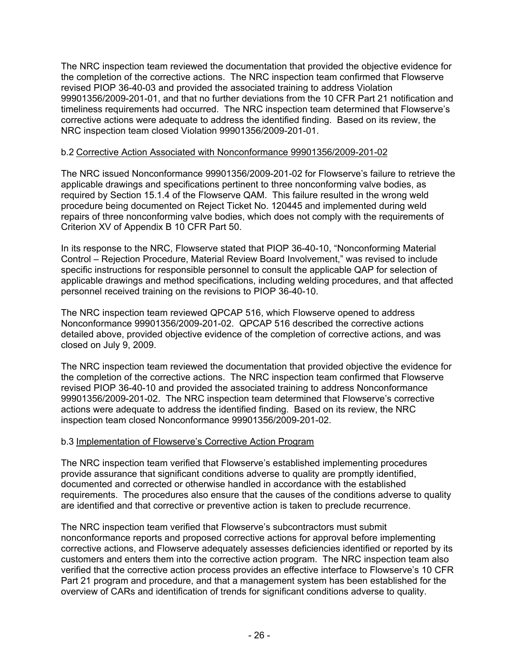The NRC inspection team reviewed the documentation that provided the objective evidence for the completion of the corrective actions. The NRC inspection team confirmed that Flowserve revised PIOP 36-40-03 and provided the associated training to address Violation 99901356/2009-201-01, and that no further deviations from the 10 CFR Part 21 notification and timeliness requirements had occurred. The NRC inspection team determined that Flowserve's corrective actions were adequate to address the identified finding. Based on its review, the NRC inspection team closed Violation 99901356/2009-201-01.

## b.2 Corrective Action Associated with Nonconformance 99901356/2009-201-02

The NRC issued Nonconformance 99901356/2009-201-02 for Flowserve's failure to retrieve the applicable drawings and specifications pertinent to three nonconforming valve bodies, as required by Section 15.1.4 of the Flowserve QAM. This failure resulted in the wrong weld procedure being documented on Reject Ticket No. 120445 and implemented during weld repairs of three nonconforming valve bodies, which does not comply with the requirements of Criterion XV of Appendix B 10 CFR Part 50.

In its response to the NRC, Flowserve stated that PIOP 36-40-10, "Nonconforming Material Control – Rejection Procedure, Material Review Board Involvement," was revised to include specific instructions for responsible personnel to consult the applicable QAP for selection of applicable drawings and method specifications, including welding procedures, and that affected personnel received training on the revisions to PIOP 36-40-10.

The NRC inspection team reviewed QPCAP 516, which Flowserve opened to address Nonconformance 99901356/2009-201-02. QPCAP 516 described the corrective actions detailed above, provided objective evidence of the completion of corrective actions, and was closed on July 9, 2009.

The NRC inspection team reviewed the documentation that provided objective the evidence for the completion of the corrective actions. The NRC inspection team confirmed that Flowserve revised PIOP 36-40-10 and provided the associated training to address Nonconformance 99901356/2009-201-02. The NRC inspection team determined that Flowserve's corrective actions were adequate to address the identified finding. Based on its review, the NRC inspection team closed Nonconformance 99901356/2009-201-02.

#### b.3 Implementation of Flowserve's Corrective Action Program

The NRC inspection team verified that Flowserve's established implementing procedures provide assurance that significant conditions adverse to quality are promptly identified, documented and corrected or otherwise handled in accordance with the established requirements. The procedures also ensure that the causes of the conditions adverse to quality are identified and that corrective or preventive action is taken to preclude recurrence.

The NRC inspection team verified that Flowserve's subcontractors must submit nonconformance reports and proposed corrective actions for approval before implementing corrective actions, and Flowserve adequately assesses deficiencies identified or reported by its customers and enters them into the corrective action program. The NRC inspection team also verified that the corrective action process provides an effective interface to Flowserve's 10 CFR Part 21 program and procedure, and that a management system has been established for the overview of CARs and identification of trends for significant conditions adverse to quality.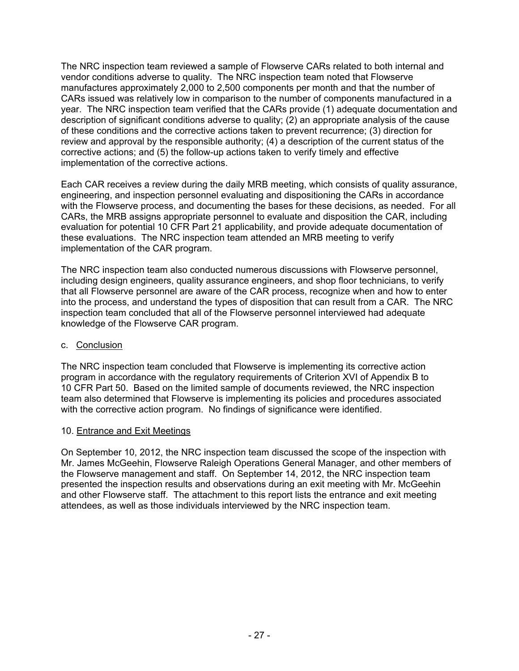The NRC inspection team reviewed a sample of Flowserve CARs related to both internal and vendor conditions adverse to quality. The NRC inspection team noted that Flowserve manufactures approximately 2,000 to 2,500 components per month and that the number of CARs issued was relatively low in comparison to the number of components manufactured in a year. The NRC inspection team verified that the CARs provide (1) adequate documentation and description of significant conditions adverse to quality; (2) an appropriate analysis of the cause of these conditions and the corrective actions taken to prevent recurrence; (3) direction for review and approval by the responsible authority; (4) a description of the current status of the corrective actions; and (5) the follow-up actions taken to verify timely and effective implementation of the corrective actions.

Each CAR receives a review during the daily MRB meeting, which consists of quality assurance, engineering, and inspection personnel evaluating and dispositioning the CARs in accordance with the Flowserve process, and documenting the bases for these decisions, as needed. For all CARs, the MRB assigns appropriate personnel to evaluate and disposition the CAR, including evaluation for potential 10 CFR Part 21 applicability, and provide adequate documentation of these evaluations. The NRC inspection team attended an MRB meeting to verify implementation of the CAR program.

The NRC inspection team also conducted numerous discussions with Flowserve personnel, including design engineers, quality assurance engineers, and shop floor technicians, to verify that all Flowserve personnel are aware of the CAR process, recognize when and how to enter into the process, and understand the types of disposition that can result from a CAR. The NRC inspection team concluded that all of the Flowserve personnel interviewed had adequate knowledge of the Flowserve CAR program.

## c. Conclusion

The NRC inspection team concluded that Flowserve is implementing its corrective action program in accordance with the regulatory requirements of Criterion XVI of Appendix B to 10 CFR Part 50. Based on the limited sample of documents reviewed, the NRC inspection team also determined that Flowserve is implementing its policies and procedures associated with the corrective action program. No findings of significance were identified.

## 10. Entrance and Exit Meetings

On September 10, 2012, the NRC inspection team discussed the scope of the inspection with Mr. James McGeehin, Flowserve Raleigh Operations General Manager, and other members of the Flowserve management and staff. On September 14, 2012, the NRC inspection team presented the inspection results and observations during an exit meeting with Mr. McGeehin and other Flowserve staff. The attachment to this report lists the entrance and exit meeting attendees, as well as those individuals interviewed by the NRC inspection team.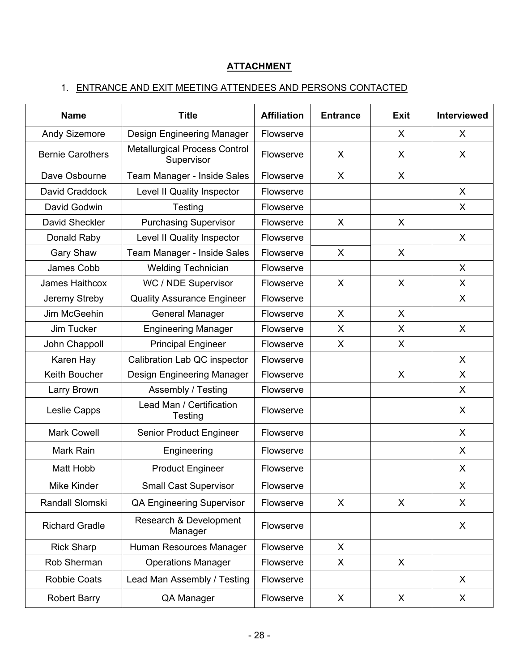# **ATTACHMENT**

# 1. ENTRANCE AND EXIT MEETING ATTENDEES AND PERSONS CONTACTED

| <b>Name</b>             | <b>Title</b>                                       |           | <b>Entrance</b> | <b>Exit</b>  | Interviewed |
|-------------------------|----------------------------------------------------|-----------|-----------------|--------------|-------------|
| <b>Andy Sizemore</b>    | Design Engineering Manager                         | Flowserve | X               |              | X           |
| <b>Bernie Carothers</b> | <b>Metallurgical Process Control</b><br>Supervisor | Flowserve | X               | X            | X           |
| Dave Osbourne           | Team Manager - Inside Sales                        | Flowserve | X<br>X          |              |             |
| David Craddock          | Level II Quality Inspector                         | Flowserve |                 |              | X           |
| David Godwin            | Testing                                            | Flowserve |                 |              | X           |
| David Sheckler          | <b>Purchasing Supervisor</b>                       | Flowserve | X               | X            |             |
| Donald Raby             | Level II Quality Inspector                         | Flowserve |                 |              | $\sf X$     |
| <b>Gary Shaw</b>        | Team Manager - Inside Sales                        | Flowserve | X               | X            |             |
| James Cobb              | <b>Welding Technician</b>                          | Flowserve |                 |              | $\sf X$     |
| James Haithcox          | WC / NDE Supervisor                                | Flowserve | X               | $\mathsf{X}$ | X           |
| Jeremy Streby           | <b>Quality Assurance Engineer</b>                  | Flowserve |                 |              | X           |
| Jim McGeehin            | <b>General Manager</b>                             | Flowserve | X               | X            |             |
| Jim Tucker              | <b>Engineering Manager</b>                         | Flowserve | X.              | X            | $\sf X$     |
| John Chappoll           | <b>Principal Engineer</b>                          | Flowserve | X.              | X            |             |
| Karen Hay               | Calibration Lab QC inspector                       | Flowserve |                 |              | $\sf X$     |
| Keith Boucher           | Design Engineering Manager                         | Flowserve |                 | X            | X           |
| Larry Brown             | Assembly / Testing                                 | Flowserve |                 |              | X           |
| Leslie Capps            | Lead Man / Certification<br>Testing                | Flowserve |                 |              | X           |
| <b>Mark Cowell</b>      | Senior Product Engineer                            | Flowserve |                 |              | X           |
| Mark Rain               | Engineering                                        | Flowserve |                 |              | X           |
| Matt Hobb               | <b>Product Engineer</b>                            | Flowserve |                 |              | X           |
| Mike Kinder             | <b>Small Cast Supervisor</b>                       | Flowserve |                 |              | X           |
| Randall Slomski         | <b>QA Engineering Supervisor</b>                   | Flowserve | X               | X            | X           |
| <b>Richard Gradle</b>   | Research & Development<br>Manager                  | Flowserve |                 |              | X           |
| <b>Rick Sharp</b>       | Human Resources Manager                            | Flowserve | X               |              |             |
| Rob Sherman             | <b>Operations Manager</b>                          | Flowserve | X               | X            |             |
| <b>Robbie Coats</b>     | Lead Man Assembly / Testing                        | Flowserve |                 |              | X           |
| <b>Robert Barry</b>     | QA Manager                                         | Flowserve | X               | X            | X           |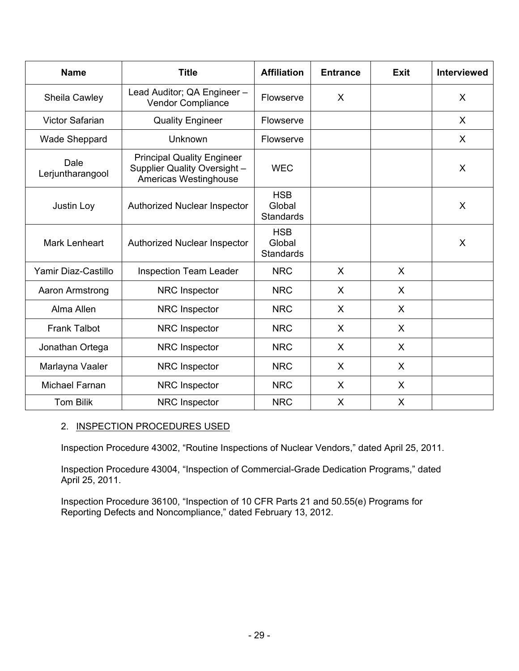| <b>Name</b>              | <b>Title</b>                                                                               | <b>Affiliation</b><br><b>Entrance</b>    |   | <b>Exit</b>  | <b>Interviewed</b> |
|--------------------------|--------------------------------------------------------------------------------------------|------------------------------------------|---|--------------|--------------------|
| Sheila Cawley            | Lead Auditor; QA Engineer -<br>Vendor Compliance                                           | Flowserve                                | X |              | X                  |
| <b>Victor Safarian</b>   | <b>Quality Engineer</b>                                                                    | Flowserve                                |   |              | X                  |
| Wade Sheppard            | Unknown                                                                                    | Flowserve                                |   |              | X                  |
| Dale<br>Lerjuntharangool | <b>Principal Quality Engineer</b><br>Supplier Quality Oversight -<br>Americas Westinghouse | <b>WEC</b>                               |   |              | $\sf X$            |
| Justin Loy               | <b>Authorized Nuclear Inspector</b>                                                        | <b>HSB</b><br>Global<br><b>Standards</b> |   |              | $\sf X$            |
| <b>Mark Lenheart</b>     | Authorized Nuclear Inspector                                                               | <b>HSB</b><br>Global<br><b>Standards</b> |   |              | X                  |
| Yamir Diaz-Castillo      | <b>Inspection Team Leader</b>                                                              | <b>NRC</b>                               | X | $\sf X$      |                    |
| Aaron Armstrong          | <b>NRC</b> Inspector                                                                       | <b>NRC</b>                               | X | $\mathsf{X}$ |                    |
| Alma Allen               | NRC Inspector                                                                              | <b>NRC</b>                               | X | $\mathsf{X}$ |                    |
| <b>Frank Talbot</b>      | NRC Inspector                                                                              | <b>NRC</b>                               | X | X            |                    |
| Jonathan Ortega          | NRC Inspector                                                                              | <b>NRC</b>                               | X | X            |                    |
| Marlayna Vaaler          | NRC Inspector                                                                              | <b>NRC</b>                               | X | X            |                    |
| Michael Farnan           | NRC Inspector                                                                              | <b>NRC</b>                               | X | $\sf X$      |                    |
| <b>Tom Bilik</b>         | <b>NRC</b> Inspector                                                                       | <b>NRC</b>                               | X | X            |                    |

## 2. INSPECTION PROCEDURES USED

Inspection Procedure 43002, "Routine Inspections of Nuclear Vendors," dated April 25, 2011.

Inspection Procedure 43004, "Inspection of Commercial-Grade Dedication Programs," dated April 25, 2011.

Inspection Procedure 36100, "Inspection of 10 CFR Parts 21 and 50.55(e) Programs for Reporting Defects and Noncompliance," dated February 13, 2012.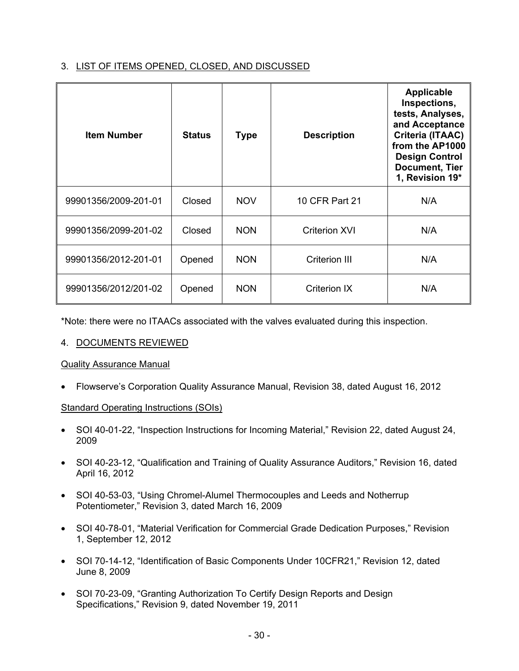## 3. LIST OF ITEMS OPENED, CLOSED, AND DISCUSSED

| <b>Item Number</b>   | <b>Status</b> | <b>Type</b> | <b>Description</b>   | <b>Applicable</b><br>Inspections,<br>tests, Analyses,<br>and Acceptance<br>Criteria (ITAAC)<br>from the AP1000<br><b>Design Control</b><br><b>Document, Tier</b><br>1, Revision 19* |
|----------------------|---------------|-------------|----------------------|-------------------------------------------------------------------------------------------------------------------------------------------------------------------------------------|
| 99901356/2009-201-01 | Closed        | <b>NOV</b>  | 10 CFR Part 21       | N/A                                                                                                                                                                                 |
| 99901356/2099-201-02 | Closed        | <b>NON</b>  | <b>Criterion XVI</b> | N/A                                                                                                                                                                                 |
| 99901356/2012-201-01 | Opened        | <b>NON</b>  | Criterion III        | N/A                                                                                                                                                                                 |
| 99901356/2012/201-02 | Opened        | <b>NON</b>  | <b>Criterion IX</b>  | N/A                                                                                                                                                                                 |

\*Note: there were no ITAACs associated with the valves evaluated during this inspection.

## 4. DOCUMENTS REVIEWED

## Quality Assurance Manual

• Flowserve's Corporation Quality Assurance Manual, Revision 38, dated August 16, 2012

## Standard Operating Instructions (SOIs)

- SOI 40-01-22, "Inspection Instructions for Incoming Material," Revision 22, dated August 24, 2009
- SOI 40-23-12, "Qualification and Training of Quality Assurance Auditors," Revision 16, dated April 16, 2012
- SOI 40-53-03, "Using Chromel-Alumel Thermocouples and Leeds and Notherrup Potentiometer," Revision 3, dated March 16, 2009
- SOI 40-78-01, "Material Verification for Commercial Grade Dedication Purposes," Revision 1, September 12, 2012
- SOI 70-14-12, "Identification of Basic Components Under 10CFR21," Revision 12, dated June 8, 2009
- SOI 70-23-09, "Granting Authorization To Certify Design Reports and Design Specifications," Revision 9, dated November 19, 2011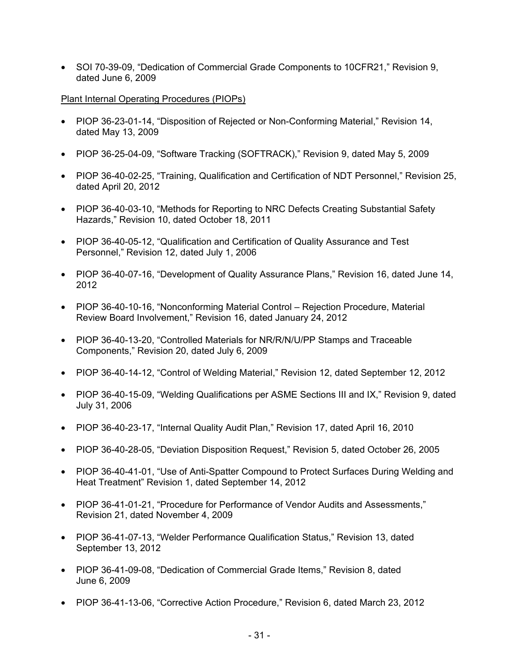• SOI 70-39-09, "Dedication of Commercial Grade Components to 10CFR21," Revision 9, dated June 6, 2009

#### Plant Internal Operating Procedures (PIOPs)

- PIOP 36-23-01-14, "Disposition of Rejected or Non-Conforming Material," Revision 14, dated May 13, 2009
- PIOP 36-25-04-09, "Software Tracking (SOFTRACK)," Revision 9, dated May 5, 2009
- PIOP 36-40-02-25, "Training, Qualification and Certification of NDT Personnel," Revision 25, dated April 20, 2012
- PIOP 36-40-03-10, "Methods for Reporting to NRC Defects Creating Substantial Safety Hazards," Revision 10, dated October 18, 2011
- PIOP 36-40-05-12, "Qualification and Certification of Quality Assurance and Test Personnel," Revision 12, dated July 1, 2006
- PIOP 36-40-07-16, "Development of Quality Assurance Plans," Revision 16, dated June 14, 2012
- PIOP 36-40-10-16, "Nonconforming Material Control Rejection Procedure, Material Review Board Involvement," Revision 16, dated January 24, 2012
- PIOP 36-40-13-20, "Controlled Materials for NR/R/N/U/PP Stamps and Traceable Components," Revision 20, dated July 6, 2009
- PIOP 36-40-14-12, "Control of Welding Material," Revision 12, dated September 12, 2012
- PIOP 36-40-15-09, "Welding Qualifications per ASME Sections III and IX," Revision 9, dated July 31, 2006
- PIOP 36-40-23-17, "Internal Quality Audit Plan," Revision 17, dated April 16, 2010
- PIOP 36-40-28-05, "Deviation Disposition Request," Revision 5, dated October 26, 2005
- PIOP 36-40-41-01, "Use of Anti-Spatter Compound to Protect Surfaces During Welding and Heat Treatment" Revision 1, dated September 14, 2012
- PIOP 36-41-01-21, "Procedure for Performance of Vendor Audits and Assessments," Revision 21, dated November 4, 2009
- PIOP 36-41-07-13, "Welder Performance Qualification Status," Revision 13, dated September 13, 2012
- PIOP 36-41-09-08, "Dedication of Commercial Grade Items," Revision 8, dated June 6, 2009
- PIOP 36-41-13-06, "Corrective Action Procedure," Revision 6, dated March 23, 2012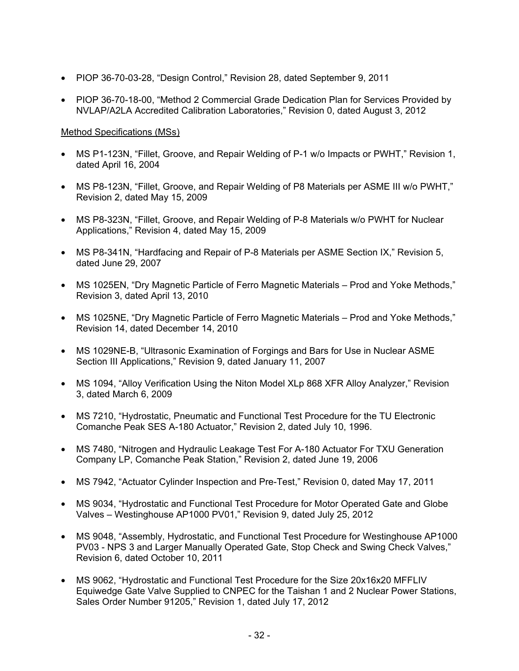- PIOP 36-70-03-28, "Design Control," Revision 28, dated September 9, 2011
- PIOP 36-70-18-00, "Method 2 Commercial Grade Dedication Plan for Services Provided by NVLAP/A2LA Accredited Calibration Laboratories," Revision 0, dated August 3, 2012

## Method Specifications (MSs)

- MS P1-123N, "Fillet, Groove, and Repair Welding of P-1 w/o Impacts or PWHT," Revision 1, dated April 16, 2004
- MS P8-123N, "Fillet, Groove, and Repair Welding of P8 Materials per ASME III w/o PWHT," Revision 2, dated May 15, 2009
- MS P8-323N, "Fillet, Groove, and Repair Welding of P-8 Materials w/o PWHT for Nuclear Applications," Revision 4, dated May 15, 2009
- MS P8-341N, "Hardfacing and Repair of P-8 Materials per ASME Section IX," Revision 5, dated June 29, 2007
- MS 1025EN, "Dry Magnetic Particle of Ferro Magnetic Materials Prod and Yoke Methods," Revision 3, dated April 13, 2010
- MS 1025NE, "Dry Magnetic Particle of Ferro Magnetic Materials Prod and Yoke Methods," Revision 14, dated December 14, 2010
- MS 1029NE-B, "Ultrasonic Examination of Forgings and Bars for Use in Nuclear ASME Section III Applications," Revision 9, dated January 11, 2007
- MS 1094, "Alloy Verification Using the Niton Model XLp 868 XFR Alloy Analyzer," Revision 3, dated March 6, 2009
- MS 7210, "Hydrostatic, Pneumatic and Functional Test Procedure for the TU Electronic Comanche Peak SES A-180 Actuator," Revision 2, dated July 10, 1996.
- MS 7480, "Nitrogen and Hydraulic Leakage Test For A-180 Actuator For TXU Generation Company LP, Comanche Peak Station," Revision 2, dated June 19, 2006
- MS 7942, "Actuator Cylinder Inspection and Pre-Test," Revision 0, dated May 17, 2011
- MS 9034, "Hydrostatic and Functional Test Procedure for Motor Operated Gate and Globe Valves – Westinghouse AP1000 PV01," Revision 9, dated July 25, 2012
- MS 9048, "Assembly, Hydrostatic, and Functional Test Procedure for Westinghouse AP1000 PV03 - NPS 3 and Larger Manually Operated Gate, Stop Check and Swing Check Valves," Revision 6, dated October 10, 2011
- MS 9062, "Hydrostatic and Functional Test Procedure for the Size 20x16x20 MFFLIV Equiwedge Gate Valve Supplied to CNPEC for the Taishan 1 and 2 Nuclear Power Stations, Sales Order Number 91205," Revision 1, dated July 17, 2012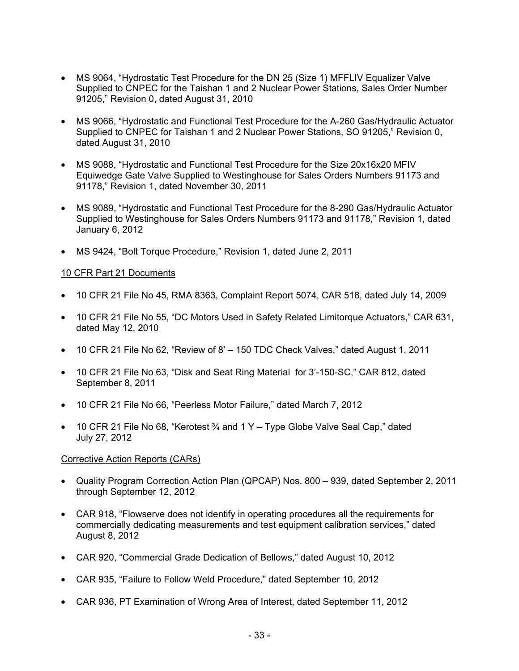- MS 9064, "Hydrostatic Test Procedure for the DN 25 (Size 1) MFFLIV Equalizer Valve Supplied to CNPEC for the Taishan 1 and 2 Nuclear Power Stations, Sales Order Number 91205," Revision 0, dated August 31, 2010
- MS 9066, "Hydrostatic and Functional Test Procedure for the A-260 Gas/Hydraulic Actuator Supplied to CNPEC for Taishan 1 and 2 Nuclear Power Stations, SO 91205," Revision 0, dated August 31, 2010
- MS 9088, "Hydrostatic and Functional Test Procedure for the Size 20x16x20 MFIV Equiwedge Gate Valve Supplied to Westinghouse for Sales Orders Numbers 91173 and 91178," Revision 1, dated November 30, 2011
- MS 9089, "Hydrostatic and Functional Test Procedure for the 8-290 Gas/Hydraulic Actuator Supplied to Westinghouse for Sales Orders Numbers 91173 and 91178," Revision 1, dated January 6, 2012
- MS 9424, "Bolt Torque Procedure," Revision 1, dated June 2, 2011

#### 10 CFR Part 21 Documents

- 10 CFR 21 File No 45, RMA 8363, Complaint Report 5074, CAR 518, dated July 14, 2009
- 10 CFR 21 File No 55, "DC Motors Used in Safety Related Limitorque Actuators," CAR 631, dated May 12, 2010
- 10 CFR 21 File No 62, "Review of 8' 150 TDC Check Valves," dated August 1, 2011
- 10 CFR 21 File No 63, "Disk and Seat Ring Material for 3'-150-SC," CAR 812, dated September 8, 2011
- 10 CFR 21 File No 66, "Peerless Motor Failure," dated March 7, 2012
- 10 CFR 21 File No 68, "Kerotest  $\frac{3}{4}$  and 1 Y Type Globe Valve Seal Cap," dated July 27, 2012

#### Corrective Action Reports (CARs)

- Quality Program Correction Action Plan (QPCAP) Nos. 800 939, dated September 2, 2011 through September 12, 2012
- CAR 918, "Flowserve does not identify in operating procedures all the requirements for commercially dedicating measurements and test equipment calibration services," dated August 8, 2012
- CAR 920, "Commercial Grade Dedication of Bellows," dated August 10, 2012
- CAR 935, "Failure to Follow Weld Procedure," dated September 10, 2012
- CAR 936, PT Examination of Wrong Area of Interest, dated September 11, 2012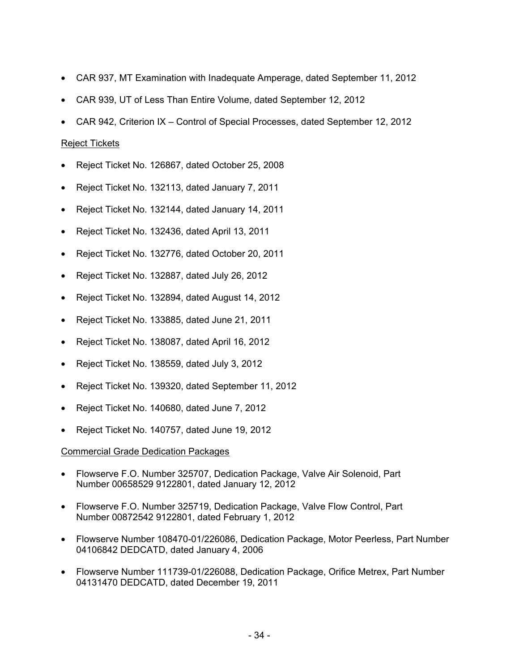- CAR 937, MT Examination with Inadequate Amperage, dated September 11, 2012
- CAR 939, UT of Less Than Entire Volume, dated September 12, 2012
- CAR 942, Criterion IX Control of Special Processes, dated September 12, 2012

#### Reject Tickets

- Reject Ticket No. 126867, dated October 25, 2008
- Reject Ticket No. 132113, dated January 7, 2011
- Reject Ticket No. 132144, dated January 14, 2011
- Reject Ticket No. 132436, dated April 13, 2011
- Reject Ticket No. 132776, dated October 20, 2011
- Reject Ticket No. 132887, dated July 26, 2012
- Reject Ticket No. 132894, dated August 14, 2012
- Reject Ticket No. 133885, dated June 21, 2011
- Reject Ticket No. 138087, dated April 16, 2012
- Reject Ticket No. 138559, dated July 3, 2012
- Reject Ticket No. 139320, dated September 11, 2012
- Reject Ticket No. 140680, dated June 7, 2012
- Reject Ticket No. 140757, dated June 19, 2012

#### Commercial Grade Dedication Packages

- Flowserve F.O. Number 325707, Dedication Package, Valve Air Solenoid, Part Number 00658529 9122801, dated January 12, 2012
- Flowserve F.O. Number 325719, Dedication Package, Valve Flow Control, Part Number 00872542 9122801, dated February 1, 2012
- Flowserve Number 108470-01/226086, Dedication Package, Motor Peerless, Part Number 04106842 DEDCATD, dated January 4, 2006
- Flowserve Number 111739-01/226088, Dedication Package, Orifice Metrex, Part Number 04131470 DEDCATD, dated December 19, 2011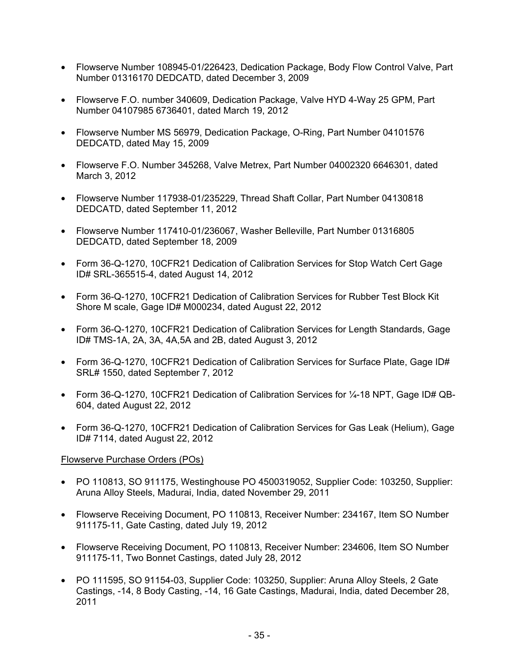- Flowserve Number 108945-01/226423, Dedication Package, Body Flow Control Valve, Part Number 01316170 DEDCATD, dated December 3, 2009
- Flowserve F.O. number 340609, Dedication Package, Valve HYD 4-Way 25 GPM, Part Number 04107985 6736401, dated March 19, 2012
- Flowserve Number MS 56979, Dedication Package, O-Ring, Part Number 04101576 DEDCATD, dated May 15, 2009
- Flowserve F.O. Number 345268, Valve Metrex, Part Number 04002320 6646301, dated March 3, 2012
- Flowserve Number 117938-01/235229, Thread Shaft Collar, Part Number 04130818 DEDCATD, dated September 11, 2012
- Flowserve Number 117410-01/236067, Washer Belleville, Part Number 01316805 DEDCATD, dated September 18, 2009
- Form 36-Q-1270, 10CFR21 Dedication of Calibration Services for Stop Watch Cert Gage ID# SRL-365515-4, dated August 14, 2012
- Form 36-Q-1270, 10CFR21 Dedication of Calibration Services for Rubber Test Block Kit Shore M scale, Gage ID# M000234, dated August 22, 2012
- Form 36-Q-1270, 10CFR21 Dedication of Calibration Services for Length Standards, Gage ID# TMS-1A, 2A, 3A, 4A,5A and 2B, dated August 3, 2012
- Form 36-Q-1270, 10CFR21 Dedication of Calibration Services for Surface Plate, Gage ID# SRL# 1550, dated September 7, 2012
- Form 36-Q-1270, 10CFR21 Dedication of Calibration Services for  $\frac{1}{4}$ -18 NPT, Gage ID# QB-604, dated August 22, 2012
- Form 36-Q-1270, 10CFR21 Dedication of Calibration Services for Gas Leak (Helium), Gage ID# 7114, dated August 22, 2012

## Flowserve Purchase Orders (POs)

- PO 110813, SO 911175, Westinghouse PO 4500319052, Supplier Code: 103250, Supplier: Aruna Alloy Steels, Madurai, India, dated November 29, 2011
- Flowserve Receiving Document, PO 110813, Receiver Number: 234167, Item SO Number 911175-11, Gate Casting, dated July 19, 2012
- Flowserve Receiving Document, PO 110813, Receiver Number: 234606, Item SO Number 911175-11, Two Bonnet Castings, dated July 28, 2012
- PO 111595, SO 91154-03, Supplier Code: 103250, Supplier: Aruna Alloy Steels, 2 Gate Castings, -14, 8 Body Casting, -14, 16 Gate Castings, Madurai, India, dated December 28, 2011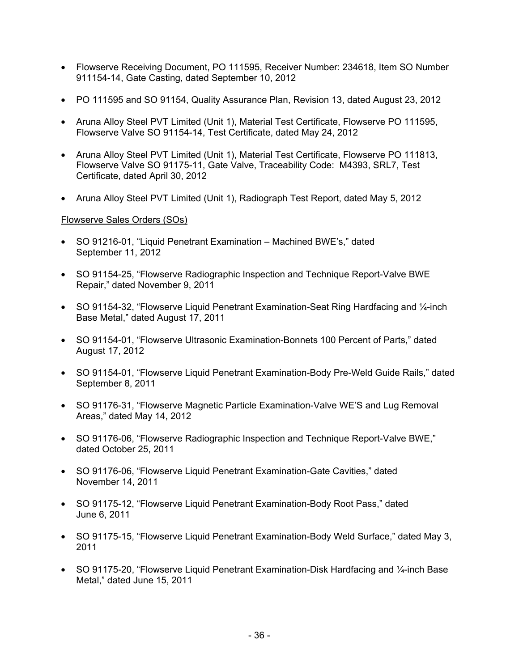- Flowserve Receiving Document, PO 111595, Receiver Number: 234618, Item SO Number 911154-14, Gate Casting, dated September 10, 2012
- PO 111595 and SO 91154, Quality Assurance Plan, Revision 13, dated August 23, 2012
- Aruna Alloy Steel PVT Limited (Unit 1), Material Test Certificate, Flowserve PO 111595, Flowserve Valve SO 91154-14, Test Certificate, dated May 24, 2012
- Aruna Alloy Steel PVT Limited (Unit 1), Material Test Certificate, Flowserve PO 111813, Flowserve Valve SO 91175-11, Gate Valve, Traceability Code: M4393, SRL7, Test Certificate, dated April 30, 2012
- Aruna Alloy Steel PVT Limited (Unit 1), Radiograph Test Report, dated May 5, 2012

## Flowserve Sales Orders (SOs)

- SO 91216-01, "Liquid Penetrant Examination Machined BWE's," dated September 11, 2012
- SO 91154-25, "Flowserve Radiographic Inspection and Technique Report-Valve BWE Repair," dated November 9, 2011
- SO 91154-32, "Flowserve Liquid Penetrant Examination-Seat Ring Hardfacing and 1/4-inch Base Metal," dated August 17, 2011
- SO 91154-01, "Flowserve Ultrasonic Examination-Bonnets 100 Percent of Parts," dated August 17, 2012
- SO 91154-01, "Flowserve Liquid Penetrant Examination-Body Pre-Weld Guide Rails," dated September 8, 2011
- SO 91176-31, "Flowserve Magnetic Particle Examination-Valve WE'S and Lug Removal Areas," dated May 14, 2012
- SO 91176-06, "Flowserve Radiographic Inspection and Technique Report-Valve BWE," dated October 25, 2011
- SO 91176-06, "Flowserve Liquid Penetrant Examination-Gate Cavities," dated November 14, 2011
- SO 91175-12, "Flowserve Liquid Penetrant Examination-Body Root Pass," dated June 6, 2011
- SO 91175-15, "Flowserve Liquid Penetrant Examination-Body Weld Surface," dated May 3, 2011
- SO 91175-20, "Flowserve Liquid Penetrant Examination-Disk Hardfacing and 1/<sub>4</sub>-inch Base Metal," dated June 15, 2011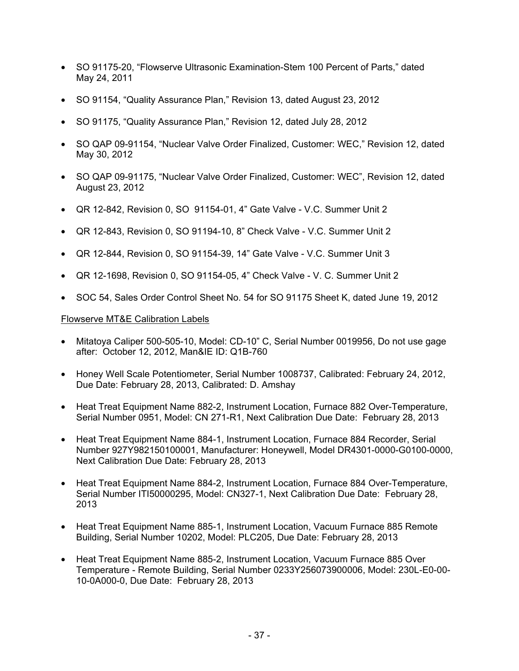- SO 91175-20, "Flowserve Ultrasonic Examination-Stem 100 Percent of Parts," dated May 24, 2011
- SO 91154, "Quality Assurance Plan," Revision 13, dated August 23, 2012
- SO 91175, "Quality Assurance Plan," Revision 12, dated July 28, 2012
- SO QAP 09-91154, "Nuclear Valve Order Finalized, Customer: WEC," Revision 12, dated May 30, 2012
- SO QAP 09-91175, "Nuclear Valve Order Finalized, Customer: WEC", Revision 12, dated August 23, 2012
- QR 12-842, Revision 0, SO 91154-01, 4" Gate Valve V.C. Summer Unit 2
- QR 12-843, Revision 0, SO 91194-10, 8" Check Valve V.C. Summer Unit 2
- QR 12-844, Revision 0, SO 91154-39, 14" Gate Valve V.C. Summer Unit 3
- QR 12-1698, Revision 0, SO 91154-05, 4" Check Valve V. C. Summer Unit 2
- SOC 54, Sales Order Control Sheet No. 54 for SO 91175 Sheet K, dated June 19, 2012

#### Flowserve MT&E Calibration Labels

- Mitatoya Caliper 500-505-10, Model: CD-10" C, Serial Number 0019956, Do not use gage after: October 12, 2012, Man&IE ID: Q1B-760
- Honey Well Scale Potentiometer, Serial Number 1008737, Calibrated: February 24, 2012, Due Date: February 28, 2013, Calibrated: D. Amshay
- Heat Treat Equipment Name 882-2, Instrument Location, Furnace 882 Over-Temperature, Serial Number 0951, Model: CN 271-R1, Next Calibration Due Date: February 28, 2013
- Heat Treat Equipment Name 884-1, Instrument Location, Furnace 884 Recorder, Serial Number 927Y982150100001, Manufacturer: Honeywell, Model DR4301-0000-G0100-0000, Next Calibration Due Date: February 28, 2013
- Heat Treat Equipment Name 884-2, Instrument Location, Furnace 884 Over-Temperature, Serial Number ITI50000295, Model: CN327-1, Next Calibration Due Date: February 28, 2013
- Heat Treat Equipment Name 885-1, Instrument Location, Vacuum Furnace 885 Remote Building, Serial Number 10202, Model: PLC205, Due Date: February 28, 2013
- Heat Treat Equipment Name 885-2, Instrument Location, Vacuum Furnace 885 Over Temperature - Remote Building, Serial Number 0233Y256073900006, Model: 230L-E0-00- 10-0A000-0, Due Date: February 28, 2013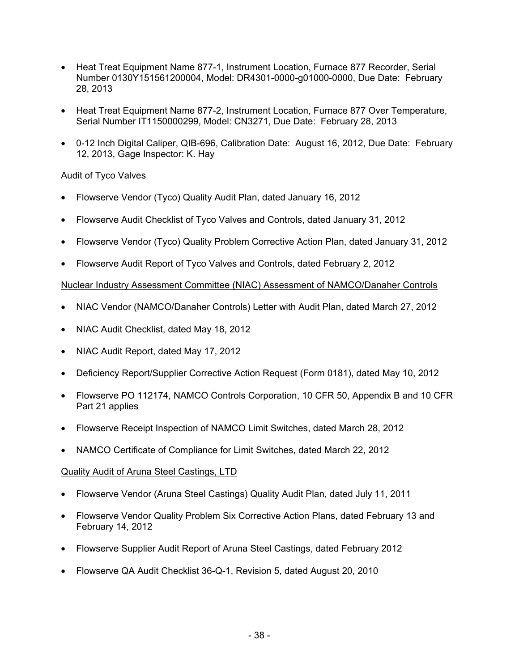- Heat Treat Equipment Name 877-1, Instrument Location, Furnace 877 Recorder, Serial Number 0130Y151561200004, Model: DR4301-0000-g01000-0000, Due Date: February 28, 2013
- Heat Treat Equipment Name 877-2, Instrument Location, Furnace 877 Over Temperature, Serial Number IT1150000299, Model: CN3271, Due Date: February 28, 2013
- 0-12 Inch Digital Caliper, QIB-696, Calibration Date: August 16, 2012, Due Date: February 12, 2013, Gage Inspector: K. Hay

## Audit of Tyco Valves

- Flowserve Vendor (Tyco) Quality Audit Plan, dated January 16, 2012
- Flowserve Audit Checklist of Tyco Valves and Controls, dated January 31, 2012
- Flowserve Vendor (Tyco) Quality Problem Corrective Action Plan, dated January 31, 2012
- Flowserve Audit Report of Tyco Valves and Controls, dated February 2, 2012

## Nuclear Industry Assessment Committee (NIAC) Assessment of NAMCO/Danaher Controls

- NIAC Vendor (NAMCO/Danaher Controls) Letter with Audit Plan, dated March 27, 2012
- NIAC Audit Checklist, dated May 18, 2012
- NIAC Audit Report, dated May 17, 2012
- Deficiency Report/Supplier Corrective Action Request (Form 0181), dated May 10, 2012
- Flowserve PO 112174, NAMCO Controls Corporation, 10 CFR 50, Appendix B and 10 CFR Part 21 applies
- Flowserve Receipt Inspection of NAMCO Limit Switches, dated March 28, 2012
- NAMCO Certificate of Compliance for Limit Switches, dated March 22, 2012

## Quality Audit of Aruna Steel Castings, LTD

- Flowserve Vendor (Aruna Steel Castings) Quality Audit Plan, dated July 11, 2011
- Flowserve Vendor Quality Problem Six Corrective Action Plans, dated February 13 and February 14, 2012
- Flowserve Supplier Audit Report of Aruna Steel Castings, dated February 2012
- Flowserve QA Audit Checklist 36-Q-1, Revision 5, dated August 20, 2010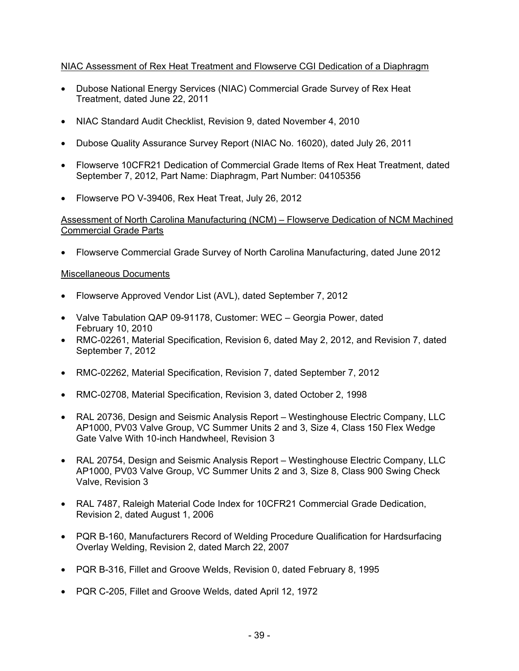## NIAC Assessment of Rex Heat Treatment and Flowserve CGI Dedication of a Diaphragm

- Dubose National Energy Services (NIAC) Commercial Grade Survey of Rex Heat Treatment, dated June 22, 2011
- NIAC Standard Audit Checklist, Revision 9, dated November 4, 2010
- Dubose Quality Assurance Survey Report (NIAC No. 16020), dated July 26, 2011
- Flowserve 10CFR21 Dedication of Commercial Grade Items of Rex Heat Treatment, dated September 7, 2012, Part Name: Diaphragm, Part Number: 04105356
- Flowserve PO V-39406, Rex Heat Treat, July 26, 2012

Assessment of North Carolina Manufacturing (NCM) – Flowserve Dedication of NCM Machined Commercial Grade Parts

• Flowserve Commercial Grade Survey of North Carolina Manufacturing, dated June 2012

## Miscellaneous Documents

- Flowserve Approved Vendor List (AVL), dated September 7, 2012
- Valve Tabulation QAP 09-91178, Customer: WEC Georgia Power, dated February 10, 2010
- RMC-02261, Material Specification, Revision 6, dated May 2, 2012, and Revision 7, dated September 7, 2012
- RMC-02262, Material Specification, Revision 7, dated September 7, 2012
- RMC-02708, Material Specification, Revision 3, dated October 2, 1998
- RAL 20736, Design and Seismic Analysis Report Westinghouse Electric Company, LLC AP1000, PV03 Valve Group, VC Summer Units 2 and 3, Size 4, Class 150 Flex Wedge Gate Valve With 10-inch Handwheel, Revision 3
- RAL 20754, Design and Seismic Analysis Report Westinghouse Electric Company, LLC AP1000, PV03 Valve Group, VC Summer Units 2 and 3, Size 8, Class 900 Swing Check Valve, Revision 3
- RAL 7487, Raleigh Material Code Index for 10CFR21 Commercial Grade Dedication, Revision 2, dated August 1, 2006
- PQR B-160, Manufacturers Record of Welding Procedure Qualification for Hardsurfacing Overlay Welding, Revision 2, dated March 22, 2007
- PQR B-316, Fillet and Groove Welds, Revision 0, dated February 8, 1995
- PQR C-205, Fillet and Groove Welds, dated April 12, 1972